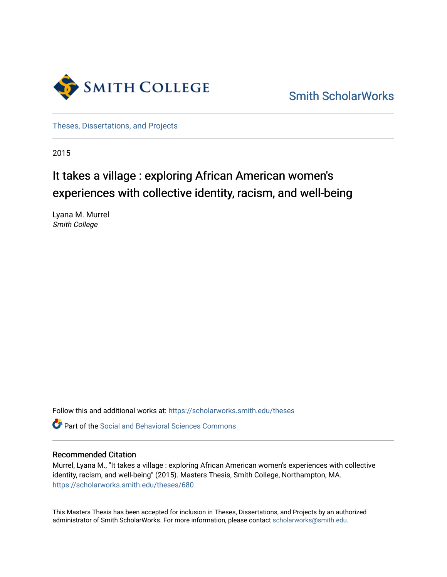

[Smith ScholarWorks](https://scholarworks.smith.edu/) 

[Theses, Dissertations, and Projects](https://scholarworks.smith.edu/theses) 

2015

# It takes a village : exploring African American women's experiences with collective identity, racism, and well-being

Lyana M. Murrel Smith College

Follow this and additional works at: [https://scholarworks.smith.edu/theses](https://scholarworks.smith.edu/theses?utm_source=scholarworks.smith.edu%2Ftheses%2F680&utm_medium=PDF&utm_campaign=PDFCoverPages) 

Part of the [Social and Behavioral Sciences Commons](http://network.bepress.com/hgg/discipline/316?utm_source=scholarworks.smith.edu%2Ftheses%2F680&utm_medium=PDF&utm_campaign=PDFCoverPages) 

#### Recommended Citation

Murrel, Lyana M., "It takes a village : exploring African American women's experiences with collective identity, racism, and well-being" (2015). Masters Thesis, Smith College, Northampton, MA. [https://scholarworks.smith.edu/theses/680](https://scholarworks.smith.edu/theses/680?utm_source=scholarworks.smith.edu%2Ftheses%2F680&utm_medium=PDF&utm_campaign=PDFCoverPages) 

This Masters Thesis has been accepted for inclusion in Theses, Dissertations, and Projects by an authorized administrator of Smith ScholarWorks. For more information, please contact [scholarworks@smith.edu](mailto:scholarworks@smith.edu).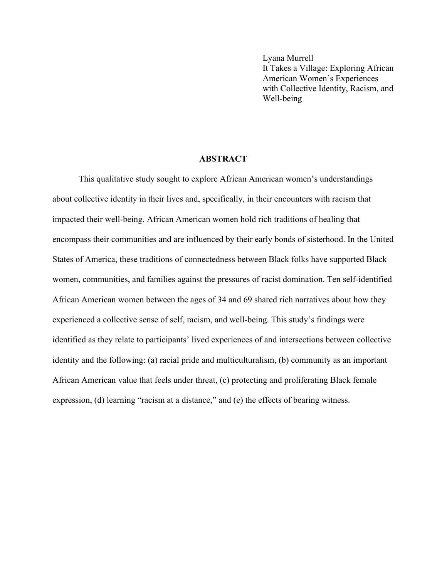Lyana Murrell It Takes a Village: Exploring African American Women's Experiences with Collective Identity, Racism, and Well-being

#### **ABSTRACT**

This qualitative study sought to explore African American women's understandings about collective identity in their lives and, specifically, in their encounters with racism that impacted their well-being. African American women hold rich traditions of healing that encompass their communities and are influenced by their early bonds of sisterhood. In the United States of America, these traditions of connectedness between Black folks have supported Black women, communities, and families against the pressures of racist domination. Ten self-identified African American women between the ages of 34 and 69 shared rich narratives about how they experienced a collective sense of self, racism, and well-being. This study's findings were identified as they relate to participants' lived experiences of and intersections between collective identity and the following: (a) racial pride and multiculturalism, (b) community as an important African American value that feels under threat, (c) protecting and proliferating Black female expression, (d) learning "racism at a distance," and (e) the effects of bearing witness.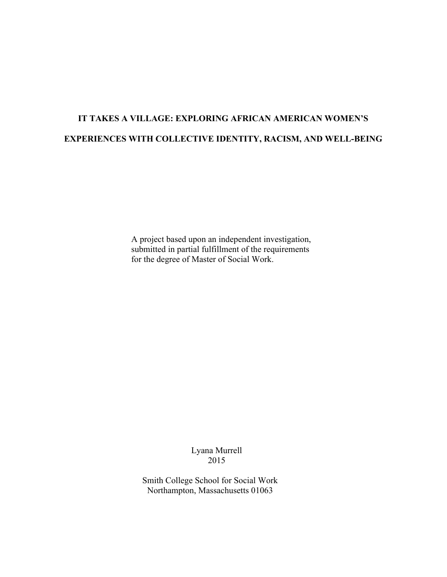## **IT TAKES A VILLAGE: EXPLORING AFRICAN AMERICAN WOMEN'S EXPERIENCES WITH COLLECTIVE IDENTITY, RACISM, AND WELL-BEING**

A project based upon an independent investigation, submitted in partial fulfillment of the requirements for the degree of Master of Social Work.

> Lyana Murrell 2015

Smith College School for Social Work Northampton, Massachusetts 01063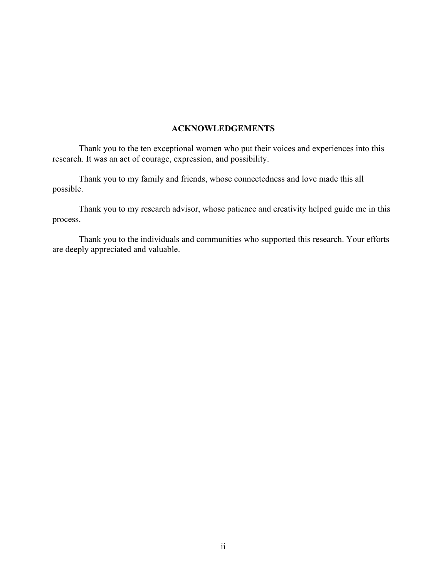### **ACKNOWLEDGEMENTS**

Thank you to the ten exceptional women who put their voices and experiences into this research. It was an act of courage, expression, and possibility.

Thank you to my family and friends, whose connectedness and love made this all possible.

Thank you to my research advisor, whose patience and creativity helped guide me in this process.

Thank you to the individuals and communities who supported this research. Your efforts are deeply appreciated and valuable.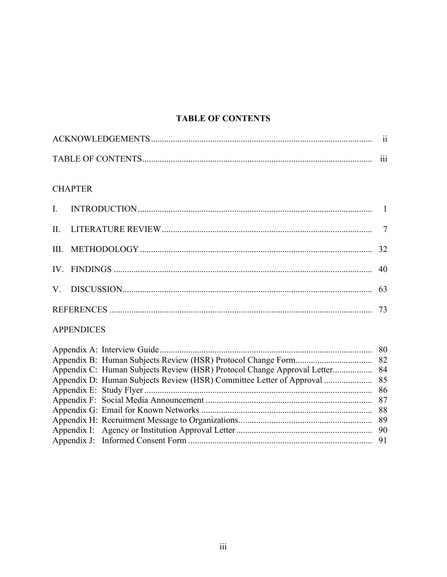## **TABLE OF CONTENTS**

|                           | . .      |
|---------------------------|----------|
| <b>TABLE OF CONTENTS.</b> | $\cdots$ |

## **CHAPTER**

| IV. FINDINGS $\ldots$ 40 |  |
|--------------------------|--|
|                          |  |
|                          |  |

### **APPENDICES**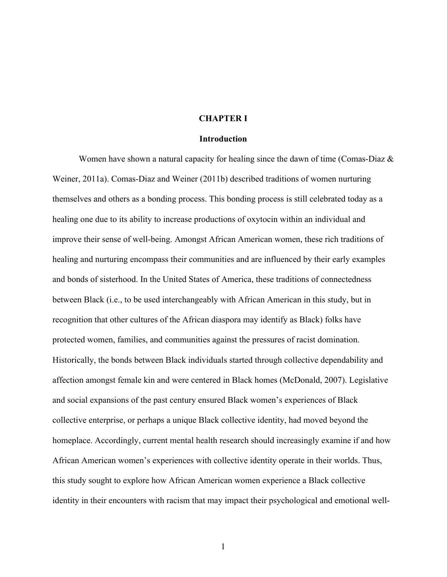#### **CHAPTER I**

#### **Introduction**

Women have shown a natural capacity for healing since the dawn of time (Comas-Diaz  $\&$ Weiner, 2011a). Comas-Diaz and Weiner (2011b) described traditions of women nurturing themselves and others as a bonding process. This bonding process is still celebrated today as a healing one due to its ability to increase productions of oxytocin within an individual and improve their sense of well-being. Amongst African American women, these rich traditions of healing and nurturing encompass their communities and are influenced by their early examples and bonds of sisterhood. In the United States of America, these traditions of connectedness between Black (i.e., to be used interchangeably with African American in this study, but in recognition that other cultures of the African diaspora may identify as Black) folks have protected women, families, and communities against the pressures of racist domination. Historically, the bonds between Black individuals started through collective dependability and affection amongst female kin and were centered in Black homes (McDonald, 2007). Legislative and social expansions of the past century ensured Black women's experiences of Black collective enterprise, or perhaps a unique Black collective identity, had moved beyond the homeplace. Accordingly, current mental health research should increasingly examine if and how African American women's experiences with collective identity operate in their worlds. Thus, this study sought to explore how African American women experience a Black collective identity in their encounters with racism that may impact their psychological and emotional well-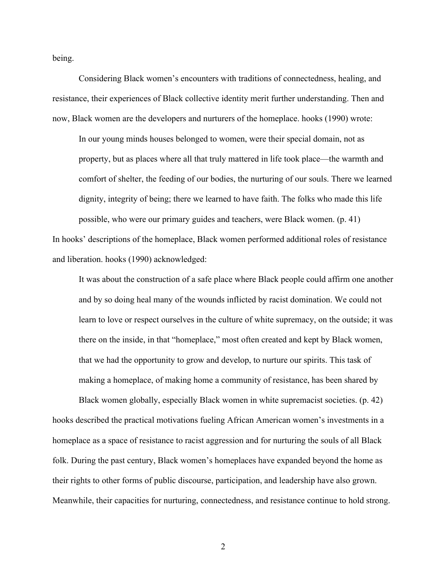being.

Considering Black women's encounters with traditions of connectedness, healing, and resistance, their experiences of Black collective identity merit further understanding. Then and now, Black women are the developers and nurturers of the homeplace. hooks (1990) wrote:

In our young minds houses belonged to women, were their special domain, not as property, but as places where all that truly mattered in life took place—the warmth and comfort of shelter, the feeding of our bodies, the nurturing of our souls. There we learned dignity, integrity of being; there we learned to have faith. The folks who made this life possible, who were our primary guides and teachers, were Black women. (p. 41)

In hooks' descriptions of the homeplace, Black women performed additional roles of resistance and liberation. hooks (1990) acknowledged:

It was about the construction of a safe place where Black people could affirm one another and by so doing heal many of the wounds inflicted by racist domination. We could not learn to love or respect ourselves in the culture of white supremacy, on the outside; it was there on the inside, in that "homeplace," most often created and kept by Black women, that we had the opportunity to grow and develop, to nurture our spirits. This task of making a homeplace, of making home a community of resistance, has been shared by

Black women globally, especially Black women in white supremacist societies. (p. 42) hooks described the practical motivations fueling African American women's investments in a homeplace as a space of resistance to racist aggression and for nurturing the souls of all Black folk. During the past century, Black women's homeplaces have expanded beyond the home as their rights to other forms of public discourse, participation, and leadership have also grown. Meanwhile, their capacities for nurturing, connectedness, and resistance continue to hold strong.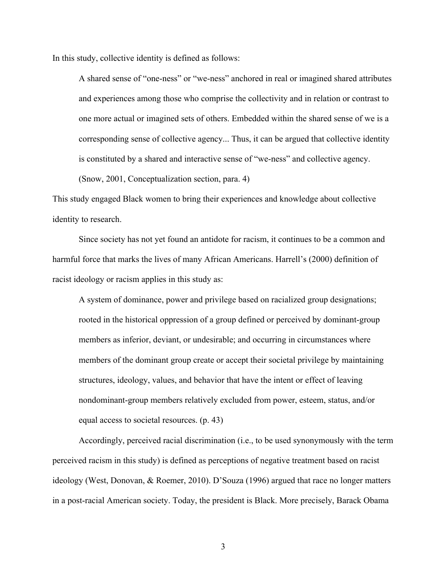In this study, collective identity is defined as follows:

A shared sense of "one-ness" or "we-ness" anchored in real or imagined shared attributes and experiences among those who comprise the collectivity and in relation or contrast to one more actual or imagined sets of others. Embedded within the shared sense of we is a corresponding sense of collective agency... Thus, it can be argued that collective identity is constituted by a shared and interactive sense of "we-ness" and collective agency.

(Snow, 2001, Conceptualization section, para. 4)

This study engaged Black women to bring their experiences and knowledge about collective identity to research.

Since society has not yet found an antidote for racism, it continues to be a common and harmful force that marks the lives of many African Americans. Harrell's (2000) definition of racist ideology or racism applies in this study as:

A system of dominance, power and privilege based on racialized group designations; rooted in the historical oppression of a group defined or perceived by dominant-group members as inferior, deviant, or undesirable; and occurring in circumstances where members of the dominant group create or accept their societal privilege by maintaining structures, ideology, values, and behavior that have the intent or effect of leaving nondominant-group members relatively excluded from power, esteem, status, and/or equal access to societal resources. (p. 43)

Accordingly, perceived racial discrimination (i.e., to be used synonymously with the term perceived racism in this study) is defined as perceptions of negative treatment based on racist ideology (West, Donovan, & Roemer, 2010). D'Souza (1996) argued that race no longer matters in a post-racial American society. Today, the president is Black. More precisely, Barack Obama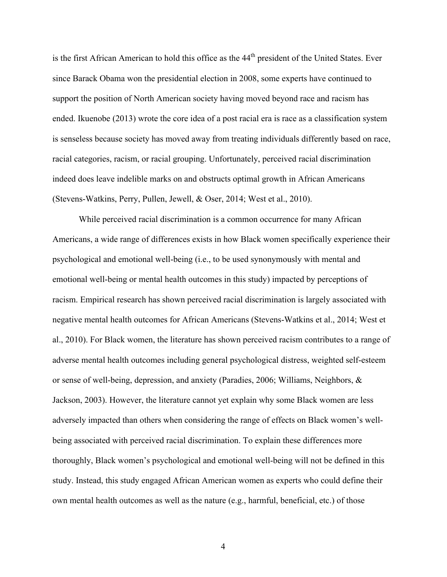is the first African American to hold this office as the 44<sup>th</sup> president of the United States. Ever since Barack Obama won the presidential election in 2008, some experts have continued to support the position of North American society having moved beyond race and racism has ended. Ikuenobe (2013) wrote the core idea of a post racial era is race as a classification system is senseless because society has moved away from treating individuals differently based on race, racial categories, racism, or racial grouping. Unfortunately, perceived racial discrimination indeed does leave indelible marks on and obstructs optimal growth in African Americans (Stevens-Watkins, Perry, Pullen, Jewell, & Oser, 2014; West et al., 2010).

While perceived racial discrimination is a common occurrence for many African Americans, a wide range of differences exists in how Black women specifically experience their psychological and emotional well-being (i.e., to be used synonymously with mental and emotional well-being or mental health outcomes in this study) impacted by perceptions of racism. Empirical research has shown perceived racial discrimination is largely associated with negative mental health outcomes for African Americans (Stevens-Watkins et al., 2014; West et al., 2010). For Black women, the literature has shown perceived racism contributes to a range of adverse mental health outcomes including general psychological distress, weighted self-esteem or sense of well-being, depression, and anxiety (Paradies, 2006; Williams, Neighbors, & Jackson, 2003). However, the literature cannot yet explain why some Black women are less adversely impacted than others when considering the range of effects on Black women's wellbeing associated with perceived racial discrimination. To explain these differences more thoroughly, Black women's psychological and emotional well-being will not be defined in this study. Instead, this study engaged African American women as experts who could define their own mental health outcomes as well as the nature (e.g., harmful, beneficial, etc.) of those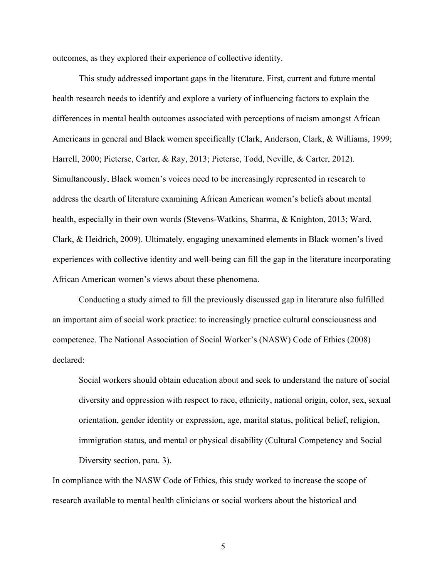outcomes, as they explored their experience of collective identity.

This study addressed important gaps in the literature. First, current and future mental health research needs to identify and explore a variety of influencing factors to explain the differences in mental health outcomes associated with perceptions of racism amongst African Americans in general and Black women specifically (Clark, Anderson, Clark, & Williams, 1999; Harrell, 2000; Pieterse, Carter, & Ray, 2013; Pieterse, Todd, Neville, & Carter, 2012). Simultaneously, Black women's voices need to be increasingly represented in research to address the dearth of literature examining African American women's beliefs about mental health, especially in their own words (Stevens-Watkins, Sharma, & Knighton, 2013; Ward, Clark, & Heidrich, 2009). Ultimately, engaging unexamined elements in Black women's lived experiences with collective identity and well-being can fill the gap in the literature incorporating African American women's views about these phenomena.

Conducting a study aimed to fill the previously discussed gap in literature also fulfilled an important aim of social work practice: to increasingly practice cultural consciousness and competence. The National Association of Social Worker's (NASW) Code of Ethics (2008) declared:

Social workers should obtain education about and seek to understand the nature of social diversity and oppression with respect to race, ethnicity, national origin, color, sex, sexual orientation, gender identity or expression, age, marital status, political belief, religion, immigration status, and mental or physical disability (Cultural Competency and Social Diversity section, para. 3).

In compliance with the NASW Code of Ethics, this study worked to increase the scope of research available to mental health clinicians or social workers about the historical and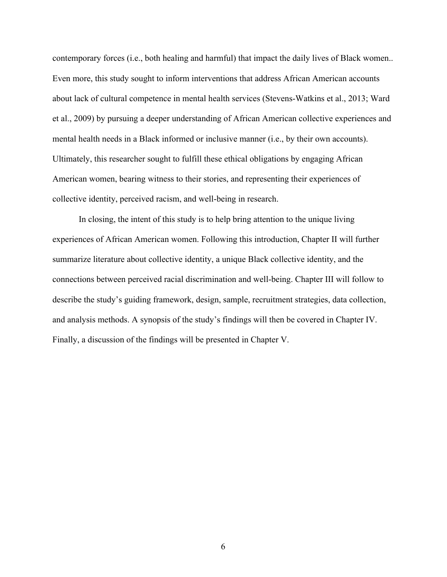contemporary forces (i.e., both healing and harmful) that impact the daily lives of Black women.. Even more, this study sought to inform interventions that address African American accounts about lack of cultural competence in mental health services (Stevens-Watkins et al., 2013; Ward et al., 2009) by pursuing a deeper understanding of African American collective experiences and mental health needs in a Black informed or inclusive manner (i.e., by their own accounts). Ultimately, this researcher sought to fulfill these ethical obligations by engaging African American women, bearing witness to their stories, and representing their experiences of collective identity, perceived racism, and well-being in research.

In closing, the intent of this study is to help bring attention to the unique living experiences of African American women. Following this introduction, Chapter II will further summarize literature about collective identity, a unique Black collective identity, and the connections between perceived racial discrimination and well-being. Chapter III will follow to describe the study's guiding framework, design, sample, recruitment strategies, data collection, and analysis methods. A synopsis of the study's findings will then be covered in Chapter IV. Finally, a discussion of the findings will be presented in Chapter V.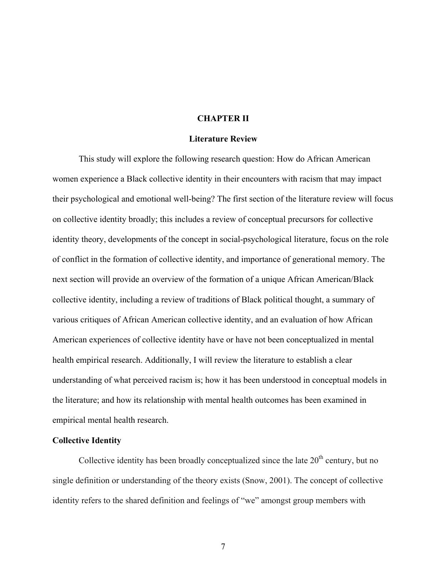#### **CHAPTER II**

#### **Literature Review**

This study will explore the following research question: How do African American women experience a Black collective identity in their encounters with racism that may impact their psychological and emotional well-being? The first section of the literature review will focus on collective identity broadly; this includes a review of conceptual precursors for collective identity theory, developments of the concept in social-psychological literature, focus on the role of conflict in the formation of collective identity, and importance of generational memory. The next section will provide an overview of the formation of a unique African American/Black collective identity, including a review of traditions of Black political thought, a summary of various critiques of African American collective identity, and an evaluation of how African American experiences of collective identity have or have not been conceptualized in mental health empirical research. Additionally, I will review the literature to establish a clear understanding of what perceived racism is; how it has been understood in conceptual models in the literature; and how its relationship with mental health outcomes has been examined in empirical mental health research.

#### **Collective Identity**

Collective identity has been broadly conceptualized since the late  $20<sup>th</sup>$  century, but no single definition or understanding of the theory exists (Snow, 2001). The concept of collective identity refers to the shared definition and feelings of "we" amongst group members with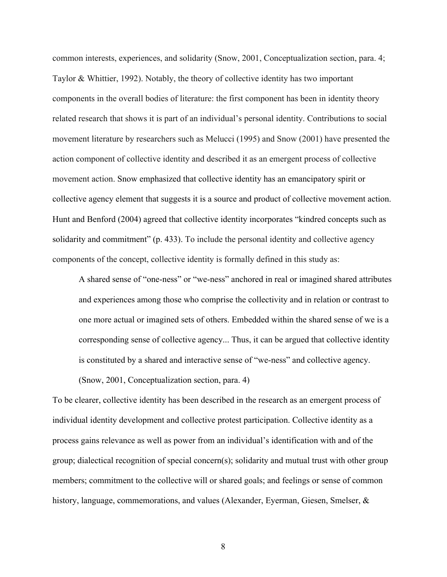common interests, experiences, and solidarity (Snow, 2001, Conceptualization section, para. 4; Taylor & Whittier, 1992). Notably, the theory of collective identity has two important components in the overall bodies of literature: the first component has been in identity theory related research that shows it is part of an individual's personal identity. Contributions to social movement literature by researchers such as Melucci (1995) and Snow (2001) have presented the action component of collective identity and described it as an emergent process of collective movement action. Snow emphasized that collective identity has an emancipatory spirit or collective agency element that suggests it is a source and product of collective movement action. Hunt and Benford (2004) agreed that collective identity incorporates "kindred concepts such as solidarity and commitment" (p. 433). To include the personal identity and collective agency components of the concept, collective identity is formally defined in this study as:

A shared sense of "one-ness" or "we-ness" anchored in real or imagined shared attributes and experiences among those who comprise the collectivity and in relation or contrast to one more actual or imagined sets of others. Embedded within the shared sense of we is a corresponding sense of collective agency... Thus, it can be argued that collective identity is constituted by a shared and interactive sense of "we-ness" and collective agency.

(Snow, 2001, Conceptualization section, para. 4)

To be clearer, collective identity has been described in the research as an emergent process of individual identity development and collective protest participation. Collective identity as a process gains relevance as well as power from an individual's identification with and of the group; dialectical recognition of special concern(s); solidarity and mutual trust with other group members; commitment to the collective will or shared goals; and feelings or sense of common history, language, commemorations, and values (Alexander, Eyerman, Giesen, Smelser, &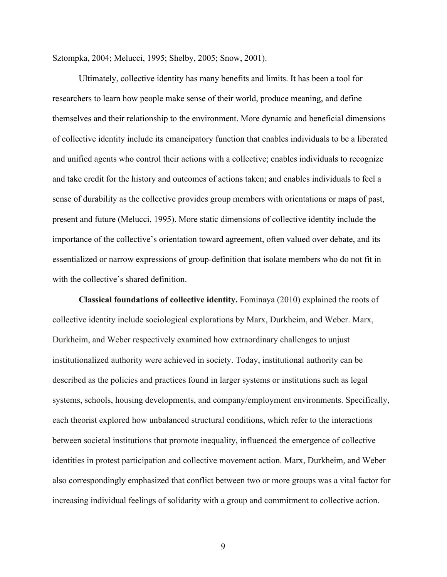Sztompka, 2004; Melucci, 1995; Shelby, 2005; Snow, 2001).

Ultimately, collective identity has many benefits and limits. It has been a tool for researchers to learn how people make sense of their world, produce meaning, and define themselves and their relationship to the environment. More dynamic and beneficial dimensions of collective identity include its emancipatory function that enables individuals to be a liberated and unified agents who control their actions with a collective; enables individuals to recognize and take credit for the history and outcomes of actions taken; and enables individuals to feel a sense of durability as the collective provides group members with orientations or maps of past, present and future (Melucci, 1995). More static dimensions of collective identity include the importance of the collective's orientation toward agreement, often valued over debate, and its essentialized or narrow expressions of group-definition that isolate members who do not fit in with the collective's shared definition.

**Classical foundations of collective identity.** Fominaya (2010) explained the roots of collective identity include sociological explorations by Marx, Durkheim, and Weber. Marx, Durkheim, and Weber respectively examined how extraordinary challenges to unjust institutionalized authority were achieved in society. Today, institutional authority can be described as the policies and practices found in larger systems or institutions such as legal systems, schools, housing developments, and company/employment environments. Specifically, each theorist explored how unbalanced structural conditions, which refer to the interactions between societal institutions that promote inequality, influenced the emergence of collective identities in protest participation and collective movement action. Marx, Durkheim, and Weber also correspondingly emphasized that conflict between two or more groups was a vital factor for increasing individual feelings of solidarity with a group and commitment to collective action.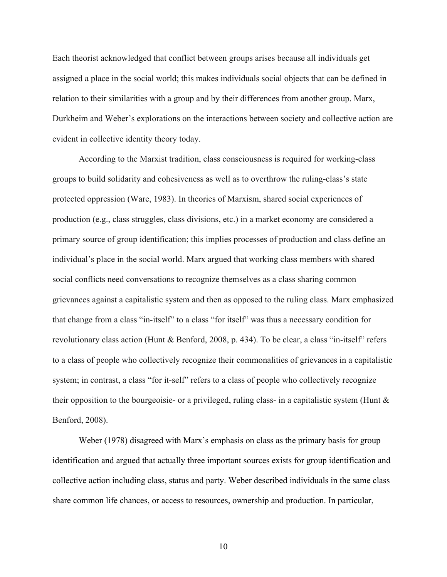Each theorist acknowledged that conflict between groups arises because all individuals get assigned a place in the social world; this makes individuals social objects that can be defined in relation to their similarities with a group and by their differences from another group. Marx, Durkheim and Weber's explorations on the interactions between society and collective action are evident in collective identity theory today.

According to the Marxist tradition, class consciousness is required for working-class groups to build solidarity and cohesiveness as well as to overthrow the ruling-class's state protected oppression (Ware, 1983). In theories of Marxism, shared social experiences of production (e.g., class struggles, class divisions, etc.) in a market economy are considered a primary source of group identification; this implies processes of production and class define an individual's place in the social world. Marx argued that working class members with shared social conflicts need conversations to recognize themselves as a class sharing common grievances against a capitalistic system and then as opposed to the ruling class. Marx emphasized that change from a class "in-itself" to a class "for itself" was thus a necessary condition for revolutionary class action (Hunt & Benford, 2008, p. 434). To be clear, a class "in-itself" refers to a class of people who collectively recognize their commonalities of grievances in a capitalistic system; in contrast, a class "for it-self" refers to a class of people who collectively recognize their opposition to the bourgeoisie- or a privileged, ruling class- in a capitalistic system (Hunt  $\&$ Benford, 2008).

Weber (1978) disagreed with Marx's emphasis on class as the primary basis for group identification and argued that actually three important sources exists for group identification and collective action including class, status and party. Weber described individuals in the same class share common life chances, or access to resources, ownership and production. In particular,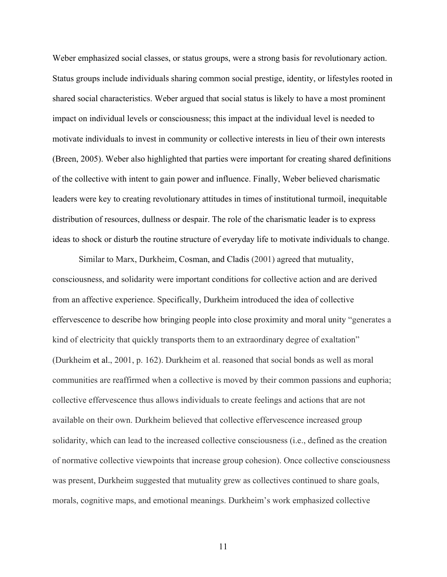Weber emphasized social classes, or status groups, were a strong basis for revolutionary action. Status groups include individuals sharing common social prestige, identity, or lifestyles rooted in shared social characteristics. Weber argued that social status is likely to have a most prominent impact on individual levels or consciousness; this impact at the individual level is needed to motivate individuals to invest in community or collective interests in lieu of their own interests (Breen, 2005). Weber also highlighted that parties were important for creating shared definitions of the collective with intent to gain power and influence. Finally, Weber believed charismatic leaders were key to creating revolutionary attitudes in times of institutional turmoil, inequitable distribution of resources, dullness or despair. The role of the charismatic leader is to express ideas to shock or disturb the routine structure of everyday life to motivate individuals to change.

Similar to Marx, Durkheim, Cosman, and Cladis (2001) agreed that mutuality, consciousness, and solidarity were important conditions for collective action and are derived from an affective experience. Specifically, Durkheim introduced the idea of collective effervescence to describe how bringing people into close proximity and moral unity "generates a kind of electricity that quickly transports them to an extraordinary degree of exaltation" (Durkheim et al., 2001, p. 162). Durkheim et al. reasoned that social bonds as well as moral communities are reaffirmed when a collective is moved by their common passions and euphoria; collective effervescence thus allows individuals to create feelings and actions that are not available on their own. Durkheim believed that collective effervescence increased group solidarity, which can lead to the increased collective consciousness (i.e., defined as the creation of normative collective viewpoints that increase group cohesion). Once collective consciousness was present, Durkheim suggested that mutuality grew as collectives continued to share goals, morals, cognitive maps, and emotional meanings. Durkheim's work emphasized collective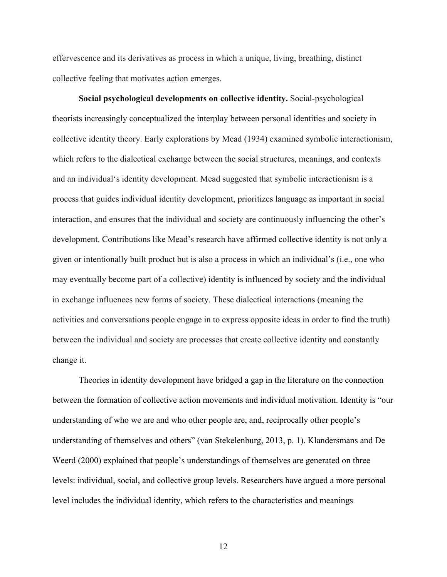effervescence and its derivatives as process in which a unique, living, breathing, distinct collective feeling that motivates action emerges.

**Social psychological developments on collective identity.** Social-psychological theorists increasingly conceptualized the interplay between personal identities and society in collective identity theory. Early explorations by Mead (1934) examined symbolic interactionism, which refers to the dialectical exchange between the social structures, meanings, and contexts and an individual's identity development. Mead suggested that symbolic interactionism is a process that guides individual identity development, prioritizes language as important in social interaction, and ensures that the individual and society are continuously influencing the other's development. Contributions like Mead's research have affirmed collective identity is not only a given or intentionally built product but is also a process in which an individual's (i.e., one who may eventually become part of a collective) identity is influenced by society and the individual in exchange influences new forms of society. These dialectical interactions (meaning the activities and conversations people engage in to express opposite ideas in order to find the truth) between the individual and society are processes that create collective identity and constantly change it.

Theories in identity development have bridged a gap in the literature on the connection between the formation of collective action movements and individual motivation. Identity is "our understanding of who we are and who other people are, and, reciprocally other people's understanding of themselves and others" (van Stekelenburg, 2013, p. 1). Klandersmans and De Weerd (2000) explained that people's understandings of themselves are generated on three levels: individual, social, and collective group levels. Researchers have argued a more personal level includes the individual identity, which refers to the characteristics and meanings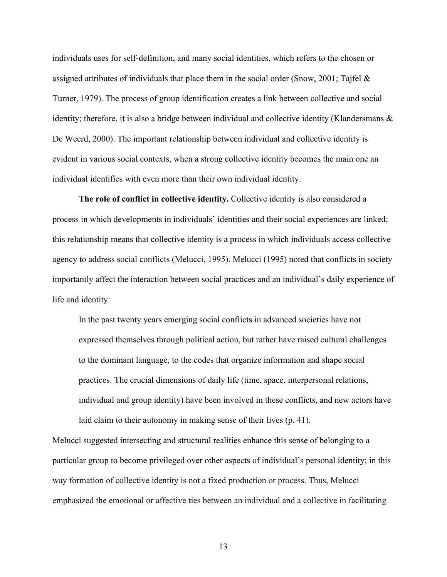individuals uses for self-definition, and many social identities, which refers to the chosen or assigned attributes of individuals that place them in the social order (Snow, 2001; Tajfel  $\&$ Turner, 1979). The process of group identification creates a link between collective and social identity; therefore, it is also a bridge between individual and collective identity (Klandersmans & De Weerd, 2000). The important relationship between individual and collective identity is evident in various social contexts, when a strong collective identity becomes the main one an individual identifies with even more than their own individual identity.

**The role of conflict in collective identity.** Collective identity is also considered a process in which developments in individuals' identities and their social experiences are linked; this relationship means that collective identity is a process in which individuals access collective agency to address social conflicts (Melucci, 1995). Melucci (1995) noted that conflicts in society importantly affect the interaction between social practices and an individual's daily experience of life and identity:

In the past twenty years emerging social conflicts in advanced societies have not expressed themselves through political action, but rather have raised cultural challenges to the dominant language, to the codes that organize information and shape social practices. The crucial dimensions of daily life (time, space, interpersonal relations, individual and group identity) have been involved in these conflicts, and new actors have laid claim to their autonomy in making sense of their lives (p. 41).

Melucci suggested intersecting and structural realities enhance this sense of belonging to a particular group to become privileged over other aspects of individual's personal identity; in this way formation of collective identity is not a fixed production or process. Thus, Melucci emphasized the emotional or affective ties between an individual and a collective in facilitating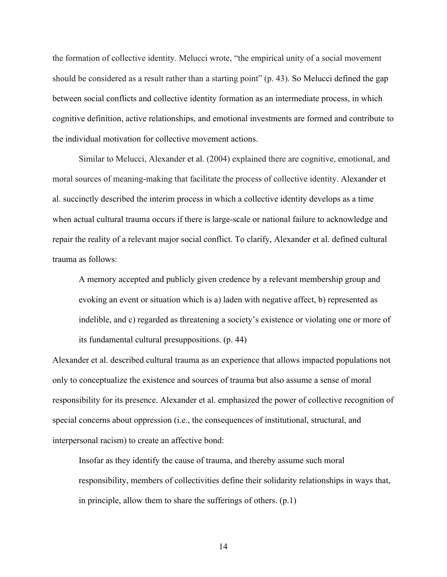the formation of collective identity. Melucci wrote, "the empirical unity of a social movement should be considered as a result rather than a starting point" (p. 43). So Melucci defined the gap between social conflicts and collective identity formation as an intermediate process, in which cognitive definition, active relationships, and emotional investments are formed and contribute to the individual motivation for collective movement actions.

Similar to Melucci, Alexander et al. (2004) explained there are cognitive, emotional, and moral sources of meaning-making that facilitate the process of collective identity. Alexander et al. succinctly described the interim process in which a collective identity develops as a time when actual cultural trauma occurs if there is large-scale or national failure to acknowledge and repair the reality of a relevant major social conflict. To clarify, Alexander et al. defined cultural trauma as follows:

A memory accepted and publicly given credence by a relevant membership group and evoking an event or situation which is a) laden with negative affect, b) represented as indelible, and c) regarded as threatening a society's existence or violating one or more of its fundamental cultural presuppositions. (p. 44)

Alexander et al. described cultural trauma as an experience that allows impacted populations not only to conceptualize the existence and sources of trauma but also assume a sense of moral responsibility for its presence. Alexander et al. emphasized the power of collective recognition of special concerns about oppression (i.e., the consequences of institutional, structural, and interpersonal racism) to create an affective bond:

Insofar as they identify the cause of trauma, and thereby assume such moral responsibility, members of collectivities define their solidarity relationships in ways that, in principle, allow them to share the sufferings of others. (p.1)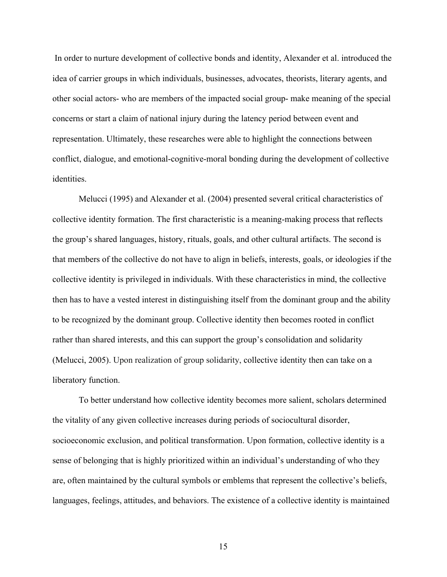In order to nurture development of collective bonds and identity, Alexander et al. introduced the idea of carrier groups in which individuals, businesses, advocates, theorists, literary agents, and other social actors- who are members of the impacted social group- make meaning of the special concerns or start a claim of national injury during the latency period between event and representation. Ultimately, these researches were able to highlight the connections between conflict, dialogue, and emotional-cognitive-moral bonding during the development of collective identities.

Melucci (1995) and Alexander et al. (2004) presented several critical characteristics of collective identity formation. The first characteristic is a meaning-making process that reflects the group's shared languages, history, rituals, goals, and other cultural artifacts. The second is that members of the collective do not have to align in beliefs, interests, goals, or ideologies if the collective identity is privileged in individuals. With these characteristics in mind, the collective then has to have a vested interest in distinguishing itself from the dominant group and the ability to be recognized by the dominant group. Collective identity then becomes rooted in conflict rather than shared interests, and this can support the group's consolidation and solidarity (Melucci, 2005). Upon realization of group solidarity, collective identity then can take on a liberatory function.

To better understand how collective identity becomes more salient, scholars determined the vitality of any given collective increases during periods of sociocultural disorder, socioeconomic exclusion, and political transformation. Upon formation, collective identity is a sense of belonging that is highly prioritized within an individual's understanding of who they are, often maintained by the cultural symbols or emblems that represent the collective's beliefs, languages, feelings, attitudes, and behaviors. The existence of a collective identity is maintained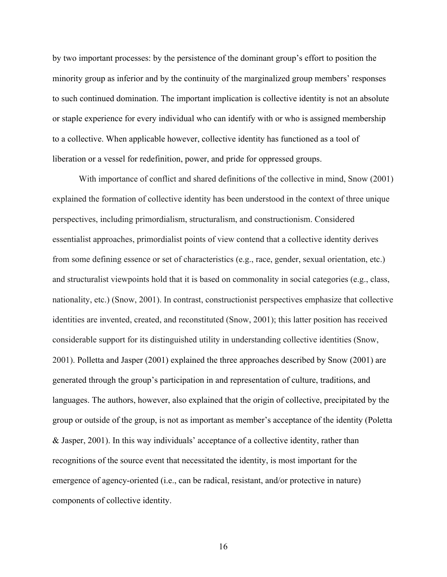by two important processes: by the persistence of the dominant group's effort to position the minority group as inferior and by the continuity of the marginalized group members' responses to such continued domination. The important implication is collective identity is not an absolute or staple experience for every individual who can identify with or who is assigned membership to a collective. When applicable however, collective identity has functioned as a tool of liberation or a vessel for redefinition, power, and pride for oppressed groups.

With importance of conflict and shared definitions of the collective in mind, Snow (2001) explained the formation of collective identity has been understood in the context of three unique perspectives, including primordialism, structuralism, and constructionism. Considered essentialist approaches, primordialist points of view contend that a collective identity derives from some defining essence or set of characteristics (e.g., race, gender, sexual orientation, etc.) and structuralist viewpoints hold that it is based on commonality in social categories (e.g., class, nationality, etc.) (Snow, 2001). In contrast, constructionist perspectives emphasize that collective identities are invented, created, and reconstituted (Snow, 2001); this latter position has received considerable support for its distinguished utility in understanding collective identities (Snow, 2001). Polletta and Jasper (2001) explained the three approaches described by Snow (2001) are generated through the group's participation in and representation of culture, traditions, and languages. The authors, however, also explained that the origin of collective, precipitated by the group or outside of the group, is not as important as member's acceptance of the identity (Poletta & Jasper, 2001). In this way individuals' acceptance of a collective identity, rather than recognitions of the source event that necessitated the identity, is most important for the emergence of agency-oriented (i.e., can be radical, resistant, and/or protective in nature) components of collective identity.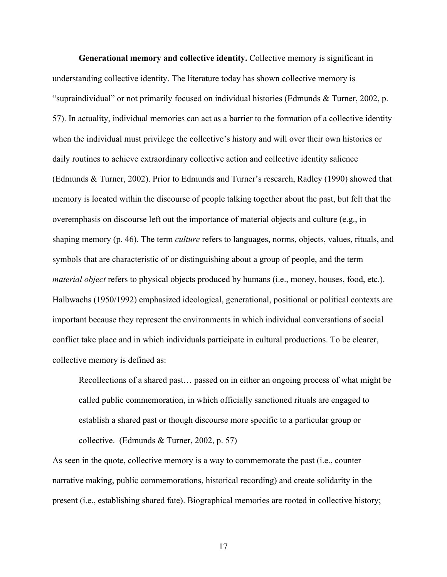**Generational memory and collective identity.** Collective memory is significant in understanding collective identity. The literature today has shown collective memory is "supraindividual" or not primarily focused on individual histories (Edmunds & Turner, 2002, p. 57). In actuality, individual memories can act as a barrier to the formation of a collective identity when the individual must privilege the collective's history and will over their own histories or daily routines to achieve extraordinary collective action and collective identity salience (Edmunds & Turner, 2002). Prior to Edmunds and Turner's research, Radley (1990) showed that memory is located within the discourse of people talking together about the past, but felt that the overemphasis on discourse left out the importance of material objects and culture (e.g., in shaping memory (p. 46). The term *culture* refers to languages, norms, objects, values, rituals, and symbols that are characteristic of or distinguishing about a group of people, and the term *material object* refers to physical objects produced by humans (i.e., money, houses, food, etc.). Halbwachs (1950/1992) emphasized ideological, generational, positional or political contexts are important because they represent the environments in which individual conversations of social conflict take place and in which individuals participate in cultural productions. To be clearer, collective memory is defined as:

Recollections of a shared past… passed on in either an ongoing process of what might be called public commemoration, in which officially sanctioned rituals are engaged to establish a shared past or though discourse more specific to a particular group or collective. (Edmunds & Turner, 2002, p. 57)

As seen in the quote, collective memory is a way to commemorate the past (i.e., counter narrative making, public commemorations, historical recording) and create solidarity in the present (i.e., establishing shared fate). Biographical memories are rooted in collective history;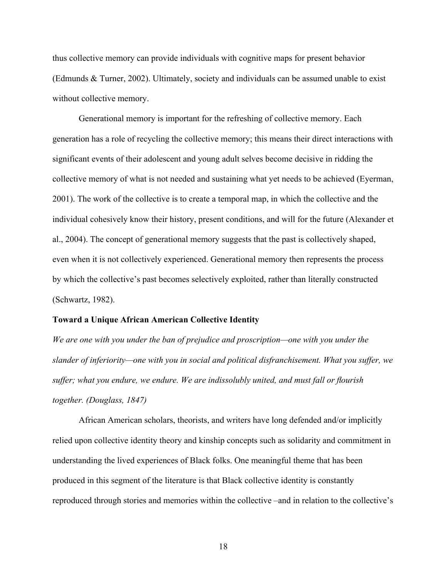thus collective memory can provide individuals with cognitive maps for present behavior (Edmunds & Turner, 2002). Ultimately, society and individuals can be assumed unable to exist without collective memory.

Generational memory is important for the refreshing of collective memory. Each generation has a role of recycling the collective memory; this means their direct interactions with significant events of their adolescent and young adult selves become decisive in ridding the collective memory of what is not needed and sustaining what yet needs to be achieved (Eyerman, 2001). The work of the collective is to create a temporal map, in which the collective and the individual cohesively know their history, present conditions, and will for the future (Alexander et al., 2004). The concept of generational memory suggests that the past is collectively shaped, even when it is not collectively experienced. Generational memory then represents the process by which the collective's past becomes selectively exploited, rather than literally constructed (Schwartz, 1982).

#### **Toward a Unique African American Collective Identity**

*We are one with you under the ban of prejudice and proscription—one with you under the slander of inferiority—one with you in social and political disfranchisement. What you suffer, we suffer; what you endure, we endure. We are indissolubly united, and must fall or flourish together. (Douglass, 1847)*

African American scholars, theorists, and writers have long defended and/or implicitly relied upon collective identity theory and kinship concepts such as solidarity and commitment in understanding the lived experiences of Black folks. One meaningful theme that has been produced in this segment of the literature is that Black collective identity is constantly reproduced through stories and memories within the collective –and in relation to the collective's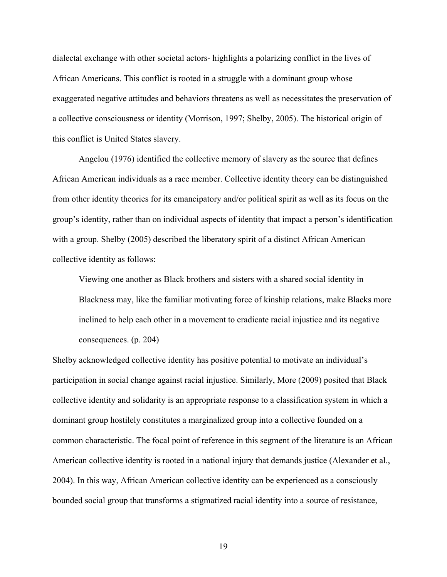dialectal exchange with other societal actors- highlights a polarizing conflict in the lives of African Americans. This conflict is rooted in a struggle with a dominant group whose exaggerated negative attitudes and behaviors threatens as well as necessitates the preservation of a collective consciousness or identity (Morrison, 1997; Shelby, 2005). The historical origin of this conflict is United States slavery.

Angelou (1976) identified the collective memory of slavery as the source that defines African American individuals as a race member. Collective identity theory can be distinguished from other identity theories for its emancipatory and/or political spirit as well as its focus on the group's identity, rather than on individual aspects of identity that impact a person's identification with a group. Shelby (2005) described the liberatory spirit of a distinct African American collective identity as follows:

Viewing one another as Black brothers and sisters with a shared social identity in Blackness may, like the familiar motivating force of kinship relations, make Blacks more inclined to help each other in a movement to eradicate racial injustice and its negative consequences. (p. 204)

Shelby acknowledged collective identity has positive potential to motivate an individual's participation in social change against racial injustice. Similarly, More (2009) posited that Black collective identity and solidarity is an appropriate response to a classification system in which a dominant group hostilely constitutes a marginalized group into a collective founded on a common characteristic. The focal point of reference in this segment of the literature is an African American collective identity is rooted in a national injury that demands justice (Alexander et al., 2004). In this way, African American collective identity can be experienced as a consciously bounded social group that transforms a stigmatized racial identity into a source of resistance,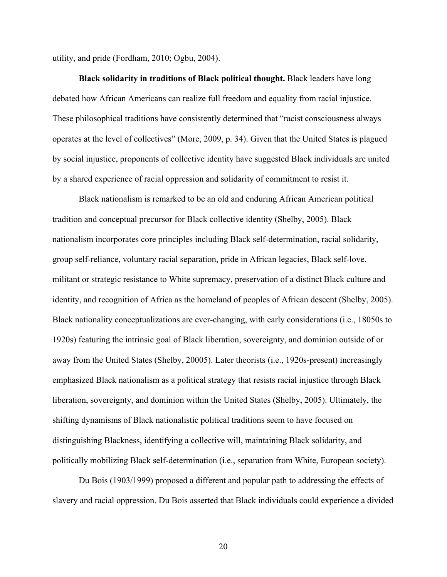utility, and pride (Fordham, 2010; Ogbu, 2004).

**Black solidarity in traditions of Black political thought.** Black leaders have long debated how African Americans can realize full freedom and equality from racial injustice. These philosophical traditions have consistently determined that "racist consciousness always operates at the level of collectives" (More, 2009, p. 34). Given that the United States is plagued by social injustice, proponents of collective identity have suggested Black individuals are united by a shared experience of racial oppression and solidarity of commitment to resist it.

Black nationalism is remarked to be an old and enduring African American political tradition and conceptual precursor for Black collective identity (Shelby, 2005). Black nationalism incorporates core principles including Black self-determination, racial solidarity, group self-reliance, voluntary racial separation, pride in African legacies, Black self-love, militant or strategic resistance to White supremacy, preservation of a distinct Black culture and identity, and recognition of Africa as the homeland of peoples of African descent (Shelby, 2005). Black nationality conceptualizations are ever-changing, with early considerations (i.e., 18050s to 1920s) featuring the intrinsic goal of Black liberation, sovereignty, and dominion outside of or away from the United States (Shelby, 20005). Later theorists (i.e., 1920s-present) increasingly emphasized Black nationalism as a political strategy that resists racial injustice through Black liberation, sovereignty, and dominion within the United States (Shelby, 2005). Ultimately, the shifting dynamisms of Black nationalistic political traditions seem to have focused on distinguishing Blackness, identifying a collective will, maintaining Black solidarity, and politically mobilizing Black self-determination (i.e., separation from White, European society).

Du Bois (1903/1999) proposed a different and popular path to addressing the effects of slavery and racial oppression. Du Bois asserted that Black individuals could experience a divided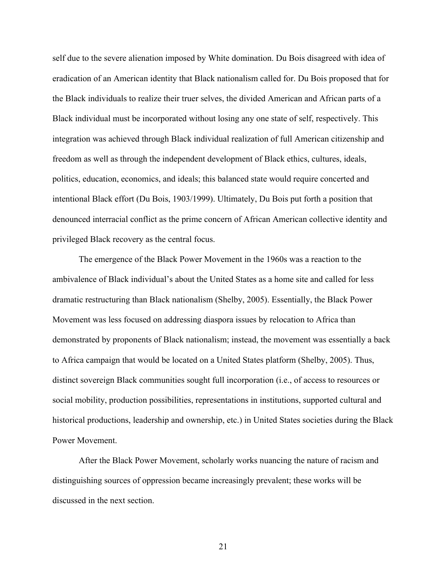self due to the severe alienation imposed by White domination. Du Bois disagreed with idea of eradication of an American identity that Black nationalism called for. Du Bois proposed that for the Black individuals to realize their truer selves, the divided American and African parts of a Black individual must be incorporated without losing any one state of self, respectively. This integration was achieved through Black individual realization of full American citizenship and freedom as well as through the independent development of Black ethics, cultures, ideals, politics, education, economics, and ideals; this balanced state would require concerted and intentional Black effort (Du Bois, 1903/1999). Ultimately, Du Bois put forth a position that denounced interracial conflict as the prime concern of African American collective identity and privileged Black recovery as the central focus.

The emergence of the Black Power Movement in the 1960s was a reaction to the ambivalence of Black individual's about the United States as a home site and called for less dramatic restructuring than Black nationalism (Shelby, 2005). Essentially, the Black Power Movement was less focused on addressing diaspora issues by relocation to Africa than demonstrated by proponents of Black nationalism; instead, the movement was essentially a back to Africa campaign that would be located on a United States platform (Shelby, 2005). Thus, distinct sovereign Black communities sought full incorporation (i.e., of access to resources or social mobility, production possibilities, representations in institutions, supported cultural and historical productions, leadership and ownership, etc.) in United States societies during the Black Power Movement.

After the Black Power Movement, scholarly works nuancing the nature of racism and distinguishing sources of oppression became increasingly prevalent; these works will be discussed in the next section.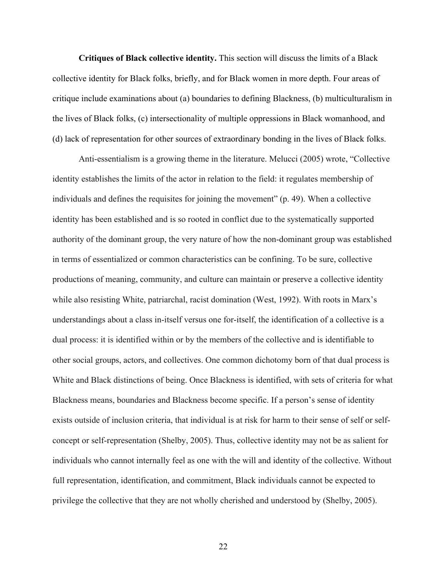**Critiques of Black collective identity.** This section will discuss the limits of a Black collective identity for Black folks, briefly, and for Black women in more depth. Four areas of critique include examinations about (a) boundaries to defining Blackness, (b) multiculturalism in the lives of Black folks, (c) intersectionality of multiple oppressions in Black womanhood, and (d) lack of representation for other sources of extraordinary bonding in the lives of Black folks.

Anti-essentialism is a growing theme in the literature. Melucci (2005) wrote, "Collective identity establishes the limits of the actor in relation to the field: it regulates membership of individuals and defines the requisites for joining the movement" (p. 49). When a collective identity has been established and is so rooted in conflict due to the systematically supported authority of the dominant group, the very nature of how the non-dominant group was established in terms of essentialized or common characteristics can be confining. To be sure, collective productions of meaning, community, and culture can maintain or preserve a collective identity while also resisting White, patriarchal, racist domination (West, 1992). With roots in Marx's understandings about a class in-itself versus one for-itself, the identification of a collective is a dual process: it is identified within or by the members of the collective and is identifiable to other social groups, actors, and collectives. One common dichotomy born of that dual process is White and Black distinctions of being. Once Blackness is identified, with sets of criteria for what Blackness means, boundaries and Blackness become specific. If a person's sense of identity exists outside of inclusion criteria, that individual is at risk for harm to their sense of self or selfconcept or self-representation (Shelby, 2005). Thus, collective identity may not be as salient for individuals who cannot internally feel as one with the will and identity of the collective. Without full representation, identification, and commitment, Black individuals cannot be expected to privilege the collective that they are not wholly cherished and understood by (Shelby, 2005).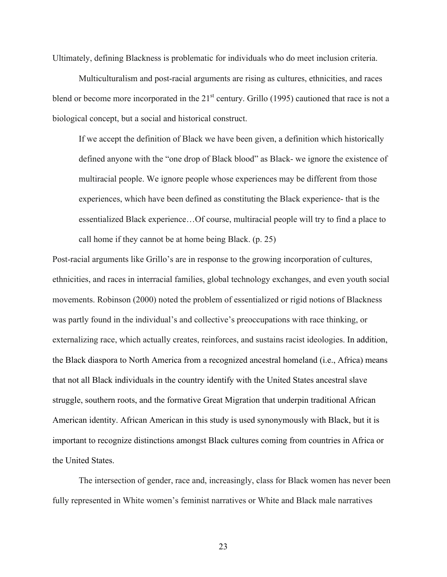Ultimately, defining Blackness is problematic for individuals who do meet inclusion criteria.

Multiculturalism and post-racial arguments are rising as cultures, ethnicities, and races blend or become more incorporated in the  $21<sup>st</sup>$  century. Grillo (1995) cautioned that race is not a biological concept, but a social and historical construct.

If we accept the definition of Black we have been given, a definition which historically defined anyone with the "one drop of Black blood" as Black- we ignore the existence of multiracial people. We ignore people whose experiences may be different from those experiences, which have been defined as constituting the Black experience- that is the essentialized Black experience…Of course, multiracial people will try to find a place to call home if they cannot be at home being Black. (p. 25)

Post-racial arguments like Grillo's are in response to the growing incorporation of cultures, ethnicities, and races in interracial families, global technology exchanges, and even youth social movements. Robinson (2000) noted the problem of essentialized or rigid notions of Blackness was partly found in the individual's and collective's preoccupations with race thinking, or externalizing race, which actually creates, reinforces, and sustains racist ideologies. In addition, the Black diaspora to North America from a recognized ancestral homeland (i.e., Africa) means that not all Black individuals in the country identify with the United States ancestral slave struggle, southern roots, and the formative Great Migration that underpin traditional African American identity. African American in this study is used synonymously with Black, but it is important to recognize distinctions amongst Black cultures coming from countries in Africa or the United States.

The intersection of gender, race and, increasingly, class for Black women has never been fully represented in White women's feminist narratives or White and Black male narratives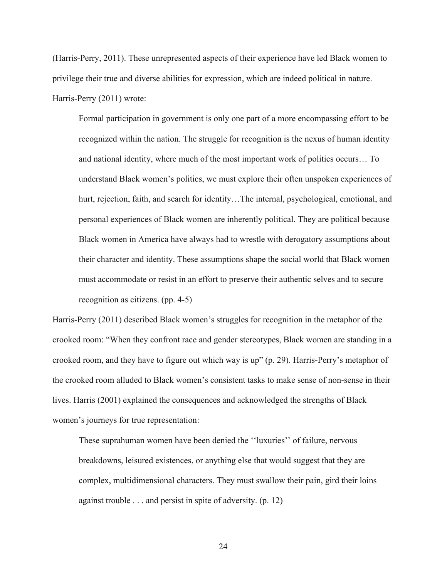(Harris-Perry, 2011). These unrepresented aspects of their experience have led Black women to privilege their true and diverse abilities for expression, which are indeed political in nature. Harris-Perry (2011) wrote:

Formal participation in government is only one part of a more encompassing effort to be recognized within the nation. The struggle for recognition is the nexus of human identity and national identity, where much of the most important work of politics occurs… To understand Black women's politics, we must explore their often unspoken experiences of hurt, rejection, faith, and search for identity...The internal, psychological, emotional, and personal experiences of Black women are inherently political. They are political because Black women in America have always had to wrestle with derogatory assumptions about their character and identity. These assumptions shape the social world that Black women must accommodate or resist in an effort to preserve their authentic selves and to secure recognition as citizens. (pp. 4-5)

Harris-Perry (2011) described Black women's struggles for recognition in the metaphor of the crooked room: "When they confront race and gender stereotypes, Black women are standing in a crooked room, and they have to figure out which way is up" (p. 29). Harris-Perry's metaphor of the crooked room alluded to Black women's consistent tasks to make sense of non-sense in their lives. Harris (2001) explained the consequences and acknowledged the strengths of Black women's journeys for true representation:

These suprahuman women have been denied the ''luxuries'' of failure, nervous breakdowns, leisured existences, or anything else that would suggest that they are complex, multidimensional characters. They must swallow their pain, gird their loins against trouble . . . and persist in spite of adversity. (p. 12)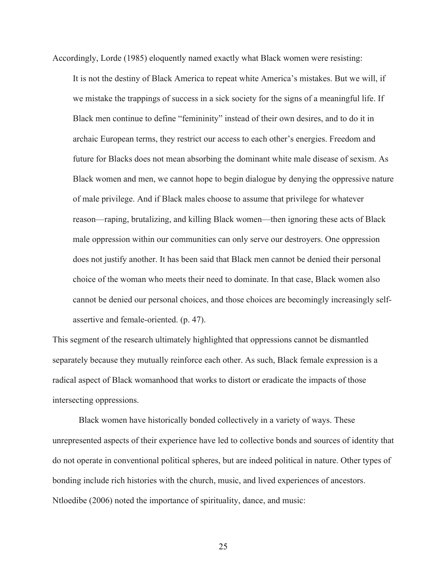Accordingly, Lorde (1985) eloquently named exactly what Black women were resisting:

It is not the destiny of Black America to repeat white America's mistakes. But we will, if we mistake the trappings of success in a sick society for the signs of a meaningful life. If Black men continue to define "femininity" instead of their own desires, and to do it in archaic European terms, they restrict our access to each other's energies. Freedom and future for Blacks does not mean absorbing the dominant white male disease of sexism. As Black women and men, we cannot hope to begin dialogue by denying the oppressive nature of male privilege. And if Black males choose to assume that privilege for whatever reason—raping, brutalizing, and killing Black women—then ignoring these acts of Black male oppression within our communities can only serve our destroyers. One oppression does not justify another. It has been said that Black men cannot be denied their personal choice of the woman who meets their need to dominate. In that case, Black women also cannot be denied our personal choices, and those choices are becomingly increasingly selfassertive and female-oriented. (p. 47).

This segment of the research ultimately highlighted that oppressions cannot be dismantled separately because they mutually reinforce each other. As such, Black female expression is a radical aspect of Black womanhood that works to distort or eradicate the impacts of those intersecting oppressions.

Black women have historically bonded collectively in a variety of ways. These unrepresented aspects of their experience have led to collective bonds and sources of identity that do not operate in conventional political spheres, but are indeed political in nature. Other types of bonding include rich histories with the church, music, and lived experiences of ancestors. Ntloedibe (2006) noted the importance of spirituality, dance, and music: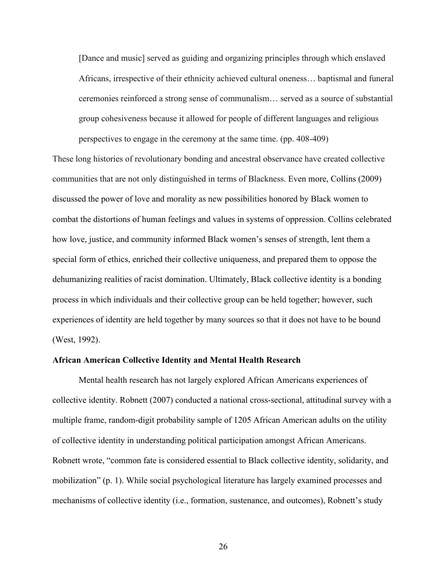[Dance and music] served as guiding and organizing principles through which enslaved Africans, irrespective of their ethnicity achieved cultural oneness… baptismal and funeral ceremonies reinforced a strong sense of communalism… served as a source of substantial group cohesiveness because it allowed for people of different languages and religious perspectives to engage in the ceremony at the same time. (pp. 408-409)

These long histories of revolutionary bonding and ancestral observance have created collective communities that are not only distinguished in terms of Blackness. Even more, Collins (2009) discussed the power of love and morality as new possibilities honored by Black women to combat the distortions of human feelings and values in systems of oppression. Collins celebrated how love, justice, and community informed Black women's senses of strength, lent them a special form of ethics, enriched their collective uniqueness, and prepared them to oppose the dehumanizing realities of racist domination. Ultimately, Black collective identity is a bonding process in which individuals and their collective group can be held together; however, such experiences of identity are held together by many sources so that it does not have to be bound (West, 1992).

#### **African American Collective Identity and Mental Health Research**

Mental health research has not largely explored African Americans experiences of collective identity. Robnett (2007) conducted a national cross-sectional, attitudinal survey with a multiple frame, random-digit probability sample of 1205 African American adults on the utility of collective identity in understanding political participation amongst African Americans. Robnett wrote, "common fate is considered essential to Black collective identity, solidarity, and mobilization" (p. 1). While social psychological literature has largely examined processes and mechanisms of collective identity (i.e., formation, sustenance, and outcomes), Robnett's study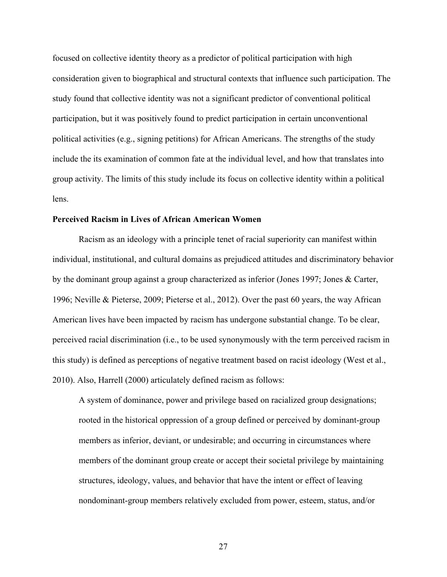focused on collective identity theory as a predictor of political participation with high consideration given to biographical and structural contexts that influence such participation. The study found that collective identity was not a significant predictor of conventional political participation, but it was positively found to predict participation in certain unconventional political activities (e.g., signing petitions) for African Americans. The strengths of the study include the its examination of common fate at the individual level, and how that translates into group activity. The limits of this study include its focus on collective identity within a political lens.

#### **Perceived Racism in Lives of African American Women**

Racism as an ideology with a principle tenet of racial superiority can manifest within individual, institutional, and cultural domains as prejudiced attitudes and discriminatory behavior by the dominant group against a group characterized as inferior (Jones 1997; Jones & Carter, 1996; Neville & Pieterse, 2009; Pieterse et al., 2012). Over the past 60 years, the way African American lives have been impacted by racism has undergone substantial change. To be clear, perceived racial discrimination (i.e., to be used synonymously with the term perceived racism in this study) is defined as perceptions of negative treatment based on racist ideology (West et al., 2010). Also, Harrell (2000) articulately defined racism as follows:

A system of dominance, power and privilege based on racialized group designations; rooted in the historical oppression of a group defined or perceived by dominant-group members as inferior, deviant, or undesirable; and occurring in circumstances where members of the dominant group create or accept their societal privilege by maintaining structures, ideology, values, and behavior that have the intent or effect of leaving nondominant-group members relatively excluded from power, esteem, status, and/or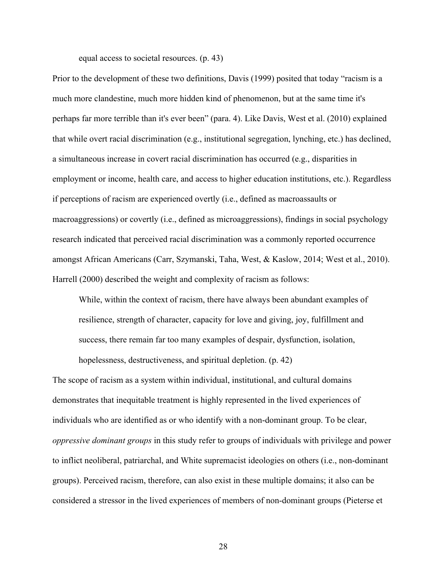equal access to societal resources. (p. 43)

Prior to the development of these two definitions, Davis (1999) posited that today "racism is a much more clandestine, much more hidden kind of phenomenon, but at the same time it's perhaps far more terrible than it's ever been" (para. 4). Like Davis, West et al. (2010) explained that while overt racial discrimination (e.g., institutional segregation, lynching, etc.) has declined, a simultaneous increase in covert racial discrimination has occurred (e.g., disparities in employment or income, health care, and access to higher education institutions, etc.). Regardless if perceptions of racism are experienced overtly (i.e., defined as macroassaults or macroaggressions) or covertly (i.e., defined as microaggressions), findings in social psychology research indicated that perceived racial discrimination was a commonly reported occurrence amongst African Americans (Carr, Szymanski, Taha, West, & Kaslow, 2014; West et al., 2010). Harrell (2000) described the weight and complexity of racism as follows:

While, within the context of racism, there have always been abundant examples of resilience, strength of character, capacity for love and giving, joy, fulfillment and success, there remain far too many examples of despair, dysfunction, isolation, hopelessness, destructiveness, and spiritual depletion. (p. 42)

The scope of racism as a system within individual, institutional, and cultural domains demonstrates that inequitable treatment is highly represented in the lived experiences of individuals who are identified as or who identify with a non-dominant group. To be clear, *oppressive dominant groups* in this study refer to groups of individuals with privilege and power to inflict neoliberal, patriarchal, and White supremacist ideologies on others (i.e., non-dominant groups). Perceived racism, therefore, can also exist in these multiple domains; it also can be considered a stressor in the lived experiences of members of non-dominant groups (Pieterse et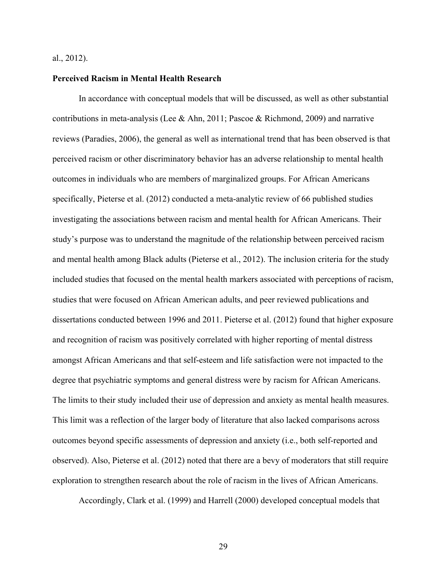#### al., 2012).

#### **Perceived Racism in Mental Health Research**

In accordance with conceptual models that will be discussed, as well as other substantial contributions in meta-analysis (Lee & Ahn, 2011; Pascoe & Richmond, 2009) and narrative reviews (Paradies, 2006), the general as well as international trend that has been observed is that perceived racism or other discriminatory behavior has an adverse relationship to mental health outcomes in individuals who are members of marginalized groups. For African Americans specifically, Pieterse et al. (2012) conducted a meta-analytic review of 66 published studies investigating the associations between racism and mental health for African Americans. Their study's purpose was to understand the magnitude of the relationship between perceived racism and mental health among Black adults (Pieterse et al., 2012). The inclusion criteria for the study included studies that focused on the mental health markers associated with perceptions of racism, studies that were focused on African American adults, and peer reviewed publications and dissertations conducted between 1996 and 2011. Pieterse et al. (2012) found that higher exposure and recognition of racism was positively correlated with higher reporting of mental distress amongst African Americans and that self-esteem and life satisfaction were not impacted to the degree that psychiatric symptoms and general distress were by racism for African Americans. The limits to their study included their use of depression and anxiety as mental health measures. This limit was a reflection of the larger body of literature that also lacked comparisons across outcomes beyond specific assessments of depression and anxiety (i.e., both self-reported and observed). Also, Pieterse et al. (2012) noted that there are a bevy of moderators that still require exploration to strengthen research about the role of racism in the lives of African Americans.

Accordingly, Clark et al. (1999) and Harrell (2000) developed conceptual models that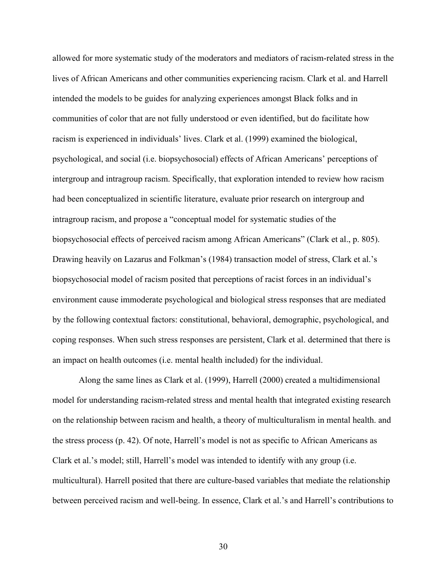allowed for more systematic study of the moderators and mediators of racism-related stress in the lives of African Americans and other communities experiencing racism. Clark et al. and Harrell intended the models to be guides for analyzing experiences amongst Black folks and in communities of color that are not fully understood or even identified, but do facilitate how racism is experienced in individuals' lives. Clark et al. (1999) examined the biological, psychological, and social (i.e. biopsychosocial) effects of African Americans' perceptions of intergroup and intragroup racism. Specifically, that exploration intended to review how racism had been conceptualized in scientific literature, evaluate prior research on intergroup and intragroup racism, and propose a "conceptual model for systematic studies of the biopsychosocial effects of perceived racism among African Americans" (Clark et al., p. 805). Drawing heavily on Lazarus and Folkman's (1984) transaction model of stress, Clark et al.'s biopsychosocial model of racism posited that perceptions of racist forces in an individual's environment cause immoderate psychological and biological stress responses that are mediated by the following contextual factors: constitutional, behavioral, demographic, psychological, and coping responses. When such stress responses are persistent, Clark et al. determined that there is an impact on health outcomes (i.e. mental health included) for the individual.

Along the same lines as Clark et al. (1999), Harrell (2000) created a multidimensional model for understanding racism-related stress and mental health that integrated existing research on the relationship between racism and health, a theory of multiculturalism in mental health. and the stress process (p. 42). Of note, Harrell's model is not as specific to African Americans as Clark et al.'s model; still, Harrell's model was intended to identify with any group (i.e. multicultural). Harrell posited that there are culture-based variables that mediate the relationship between perceived racism and well-being. In essence, Clark et al.'s and Harrell's contributions to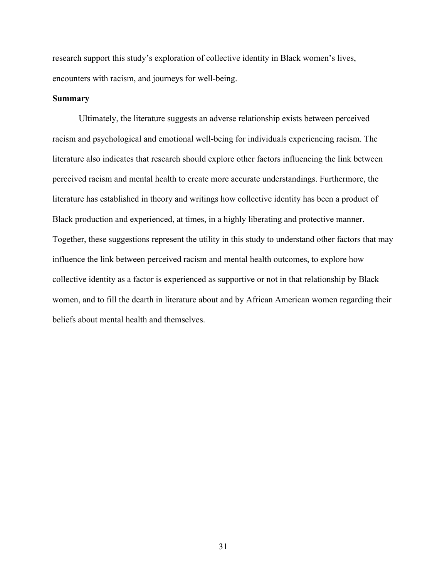research support this study's exploration of collective identity in Black women's lives, encounters with racism, and journeys for well-being.

#### **Summary**

Ultimately, the literature suggests an adverse relationship exists between perceived racism and psychological and emotional well-being for individuals experiencing racism. The literature also indicates that research should explore other factors influencing the link between perceived racism and mental health to create more accurate understandings. Furthermore, the literature has established in theory and writings how collective identity has been a product of Black production and experienced, at times, in a highly liberating and protective manner. Together, these suggestions represent the utility in this study to understand other factors that may influence the link between perceived racism and mental health outcomes, to explore how collective identity as a factor is experienced as supportive or not in that relationship by Black women, and to fill the dearth in literature about and by African American women regarding their beliefs about mental health and themselves.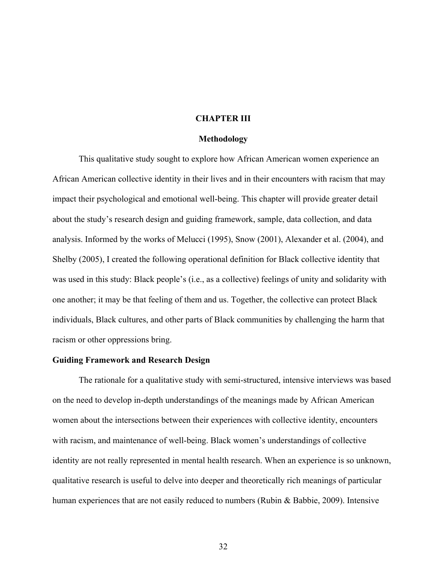#### **CHAPTER III**

#### **Methodology**

This qualitative study sought to explore how African American women experience an African American collective identity in their lives and in their encounters with racism that may impact their psychological and emotional well-being. This chapter will provide greater detail about the study's research design and guiding framework, sample, data collection, and data analysis. Informed by the works of Melucci (1995), Snow (2001), Alexander et al. (2004), and Shelby (2005), I created the following operational definition for Black collective identity that was used in this study: Black people's (i.e., as a collective) feelings of unity and solidarity with one another; it may be that feeling of them and us. Together, the collective can protect Black individuals, Black cultures, and other parts of Black communities by challenging the harm that racism or other oppressions bring.

### **Guiding Framework and Research Design**

The rationale for a qualitative study with semi-structured, intensive interviews was based on the need to develop in-depth understandings of the meanings made by African American women about the intersections between their experiences with collective identity, encounters with racism, and maintenance of well-being. Black women's understandings of collective identity are not really represented in mental health research. When an experience is so unknown, qualitative research is useful to delve into deeper and theoretically rich meanings of particular human experiences that are not easily reduced to numbers (Rubin & Babbie, 2009). Intensive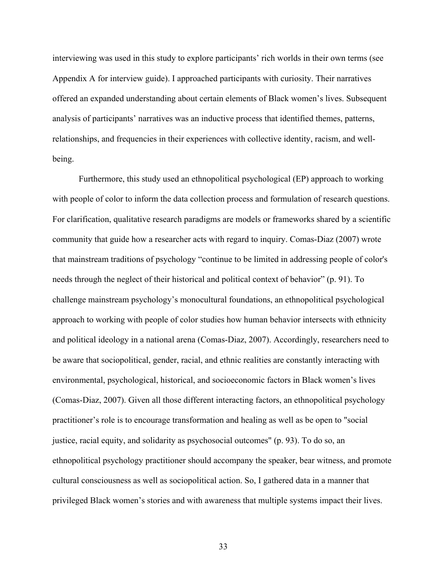interviewing was used in this study to explore participants' rich worlds in their own terms (see Appendix A for interview guide). I approached participants with curiosity. Their narratives offered an expanded understanding about certain elements of Black women's lives. Subsequent analysis of participants' narratives was an inductive process that identified themes, patterns, relationships, and frequencies in their experiences with collective identity, racism, and wellbeing.

Furthermore, this study used an ethnopolitical psychological (EP) approach to working with people of color to inform the data collection process and formulation of research questions. For clarification, qualitative research paradigms are models or frameworks shared by a scientific community that guide how a researcher acts with regard to inquiry. Comas-Diaz (2007) wrote that mainstream traditions of psychology "continue to be limited in addressing people of color's needs through the neglect of their historical and political context of behavior" (p. 91). To challenge mainstream psychology's monocultural foundations, an ethnopolitical psychological approach to working with people of color studies how human behavior intersects with ethnicity and political ideology in a national arena (Comas-Diaz, 2007). Accordingly, researchers need to be aware that sociopolitical, gender, racial, and ethnic realities are constantly interacting with environmental, psychological, historical, and socioeconomic factors in Black women's lives (Comas-Diaz, 2007). Given all those different interacting factors, an ethnopolitical psychology practitioner's role is to encourage transformation and healing as well as be open to "social justice, racial equity, and solidarity as psychosocial outcomes" (p. 93). To do so, an ethnopolitical psychology practitioner should accompany the speaker, bear witness, and promote cultural consciousness as well as sociopolitical action. So, I gathered data in a manner that privileged Black women's stories and with awareness that multiple systems impact their lives.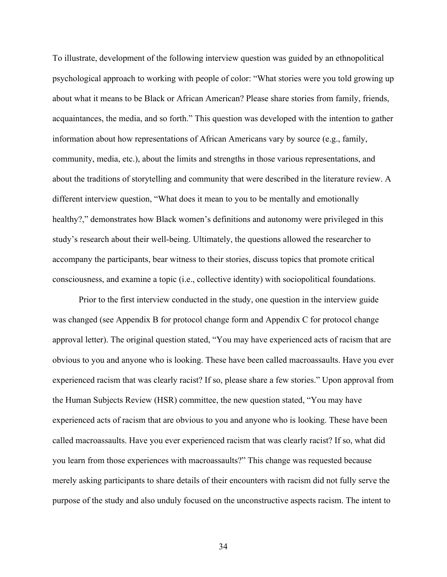To illustrate, development of the following interview question was guided by an ethnopolitical psychological approach to working with people of color: "What stories were you told growing up about what it means to be Black or African American? Please share stories from family, friends, acquaintances, the media, and so forth." This question was developed with the intention to gather information about how representations of African Americans vary by source (e.g., family, community, media, etc.), about the limits and strengths in those various representations, and about the traditions of storytelling and community that were described in the literature review. A different interview question, "What does it mean to you to be mentally and emotionally healthy?," demonstrates how Black women's definitions and autonomy were privileged in this study's research about their well-being. Ultimately, the questions allowed the researcher to accompany the participants, bear witness to their stories, discuss topics that promote critical consciousness, and examine a topic (i.e., collective identity) with sociopolitical foundations.

Prior to the first interview conducted in the study, one question in the interview guide was changed (see Appendix B for protocol change form and Appendix C for protocol change approval letter). The original question stated, "You may have experienced acts of racism that are obvious to you and anyone who is looking. These have been called macroassaults. Have you ever experienced racism that was clearly racist? If so, please share a few stories." Upon approval from the Human Subjects Review (HSR) committee, the new question stated, "You may have experienced acts of racism that are obvious to you and anyone who is looking. These have been called macroassaults. Have you ever experienced racism that was clearly racist? If so, what did you learn from those experiences with macroassaults?" This change was requested because merely asking participants to share details of their encounters with racism did not fully serve the purpose of the study and also unduly focused on the unconstructive aspects racism. The intent to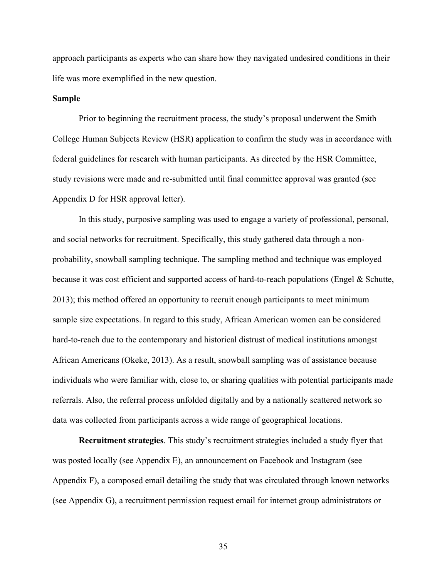approach participants as experts who can share how they navigated undesired conditions in their life was more exemplified in the new question.

#### **Sample**

Prior to beginning the recruitment process, the study's proposal underwent the Smith College Human Subjects Review (HSR) application to confirm the study was in accordance with federal guidelines for research with human participants. As directed by the HSR Committee, study revisions were made and re-submitted until final committee approval was granted (see Appendix D for HSR approval letter).

In this study, purposive sampling was used to engage a variety of professional, personal, and social networks for recruitment. Specifically, this study gathered data through a nonprobability, snowball sampling technique. The sampling method and technique was employed because it was cost efficient and supported access of hard-to-reach populations (Engel & Schutte, 2013); this method offered an opportunity to recruit enough participants to meet minimum sample size expectations. In regard to this study, African American women can be considered hard-to-reach due to the contemporary and historical distrust of medical institutions amongst African Americans (Okeke, 2013). As a result, snowball sampling was of assistance because individuals who were familiar with, close to, or sharing qualities with potential participants made referrals. Also, the referral process unfolded digitally and by a nationally scattered network so data was collected from participants across a wide range of geographical locations.

**Recruitment strategies**. This study's recruitment strategies included a study flyer that was posted locally (see Appendix E), an announcement on Facebook and Instagram (see Appendix F), a composed email detailing the study that was circulated through known networks (see Appendix G), a recruitment permission request email for internet group administrators or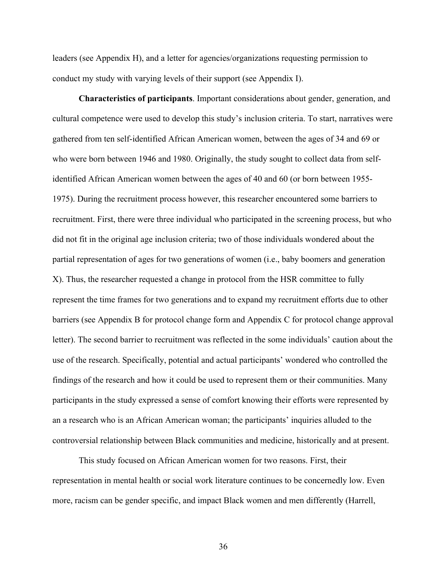leaders (see Appendix H), and a letter for agencies/organizations requesting permission to conduct my study with varying levels of their support (see Appendix I).

**Characteristics of participants**. Important considerations about gender, generation, and cultural competence were used to develop this study's inclusion criteria. To start, narratives were gathered from ten self-identified African American women, between the ages of 34 and 69 or who were born between 1946 and 1980. Originally, the study sought to collect data from selfidentified African American women between the ages of 40 and 60 (or born between 1955- 1975). During the recruitment process however, this researcher encountered some barriers to recruitment. First, there were three individual who participated in the screening process, but who did not fit in the original age inclusion criteria; two of those individuals wondered about the partial representation of ages for two generations of women (i.e., baby boomers and generation X). Thus, the researcher requested a change in protocol from the HSR committee to fully represent the time frames for two generations and to expand my recruitment efforts due to other barriers (see Appendix B for protocol change form and Appendix C for protocol change approval letter). The second barrier to recruitment was reflected in the some individuals' caution about the use of the research. Specifically, potential and actual participants' wondered who controlled the findings of the research and how it could be used to represent them or their communities. Many participants in the study expressed a sense of comfort knowing their efforts were represented by an a research who is an African American woman; the participants' inquiries alluded to the controversial relationship between Black communities and medicine, historically and at present.

This study focused on African American women for two reasons. First, their representation in mental health or social work literature continues to be concernedly low. Even more, racism can be gender specific, and impact Black women and men differently (Harrell,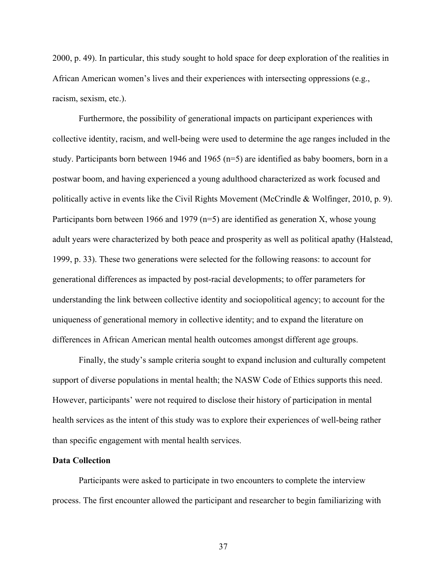2000, p. 49). In particular, this study sought to hold space for deep exploration of the realities in African American women's lives and their experiences with intersecting oppressions (e.g., racism, sexism, etc.).

Furthermore, the possibility of generational impacts on participant experiences with collective identity, racism, and well-being were used to determine the age ranges included in the study. Participants born between 1946 and 1965 (n=5) are identified as baby boomers, born in a postwar boom, and having experienced a young adulthood characterized as work focused and politically active in events like the Civil Rights Movement (McCrindle & Wolfinger, 2010, p. 9). Participants born between 1966 and 1979 ( $n=5$ ) are identified as generation X, whose young adult years were characterized by both peace and prosperity as well as political apathy (Halstead, 1999, p. 33). These two generations were selected for the following reasons: to account for generational differences as impacted by post-racial developments; to offer parameters for understanding the link between collective identity and sociopolitical agency; to account for the uniqueness of generational memory in collective identity; and to expand the literature on differences in African American mental health outcomes amongst different age groups.

Finally, the study's sample criteria sought to expand inclusion and culturally competent support of diverse populations in mental health; the NASW Code of Ethics supports this need. However, participants' were not required to disclose their history of participation in mental health services as the intent of this study was to explore their experiences of well-being rather than specific engagement with mental health services.

## **Data Collection**

Participants were asked to participate in two encounters to complete the interview process. The first encounter allowed the participant and researcher to begin familiarizing with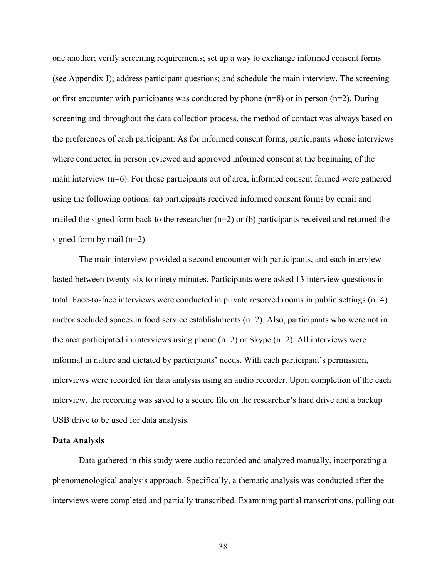one another; verify screening requirements; set up a way to exchange informed consent forms (see Appendix J); address participant questions; and schedule the main interview. The screening or first encounter with participants was conducted by phone  $(n=8)$  or in person  $(n=2)$ . During screening and throughout the data collection process, the method of contact was always based on the preferences of each participant. As for informed consent forms, participants whose interviews where conducted in person reviewed and approved informed consent at the beginning of the main interview (n=6). For those participants out of area, informed consent formed were gathered using the following options: (a) participants received informed consent forms by email and mailed the signed form back to the researcher (n=2) or (b) participants received and returned the signed form by mail (n=2).

The main interview provided a second encounter with participants, and each interview lasted between twenty-six to ninety minutes. Participants were asked 13 interview questions in total. Face-to-face interviews were conducted in private reserved rooms in public settings (n=4) and/or secluded spaces in food service establishments  $(n=2)$ . Also, participants who were not in the area participated in interviews using phone  $(n=2)$  or Skype  $(n=2)$ . All interviews were informal in nature and dictated by participants' needs. With each participant's permission, interviews were recorded for data analysis using an audio recorder. Upon completion of the each interview, the recording was saved to a secure file on the researcher's hard drive and a backup USB drive to be used for data analysis.

### **Data Analysis**

Data gathered in this study were audio recorded and analyzed manually, incorporating a phenomenological analysis approach. Specifically, a thematic analysis was conducted after the interviews were completed and partially transcribed. Examining partial transcriptions, pulling out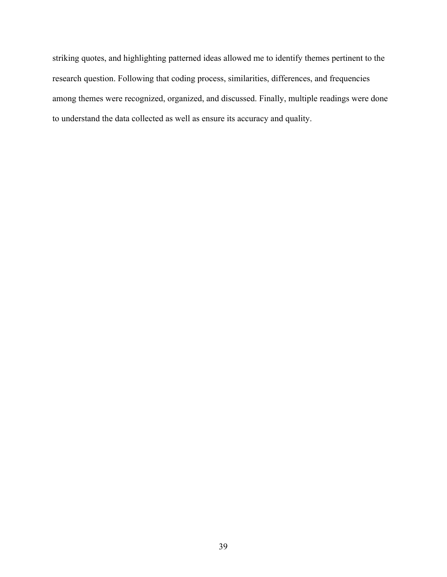striking quotes, and highlighting patterned ideas allowed me to identify themes pertinent to the research question. Following that coding process, similarities, differences, and frequencies among themes were recognized, organized, and discussed. Finally, multiple readings were done to understand the data collected as well as ensure its accuracy and quality.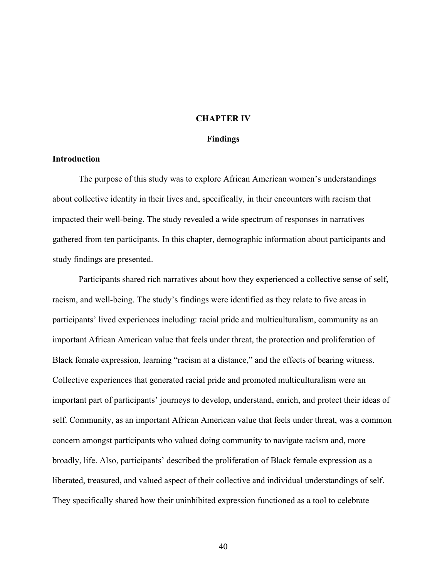#### **CHAPTER IV**

#### **Findings**

# **Introduction**

The purpose of this study was to explore African American women's understandings about collective identity in their lives and, specifically, in their encounters with racism that impacted their well-being. The study revealed a wide spectrum of responses in narratives gathered from ten participants. In this chapter, demographic information about participants and study findings are presented.

Participants shared rich narratives about how they experienced a collective sense of self, racism, and well-being. The study's findings were identified as they relate to five areas in participants' lived experiences including: racial pride and multiculturalism, community as an important African American value that feels under threat, the protection and proliferation of Black female expression, learning "racism at a distance," and the effects of bearing witness. Collective experiences that generated racial pride and promoted multiculturalism were an important part of participants' journeys to develop, understand, enrich, and protect their ideas of self. Community, as an important African American value that feels under threat, was a common concern amongst participants who valued doing community to navigate racism and, more broadly, life. Also, participants' described the proliferation of Black female expression as a liberated, treasured, and valued aspect of their collective and individual understandings of self. They specifically shared how their uninhibited expression functioned as a tool to celebrate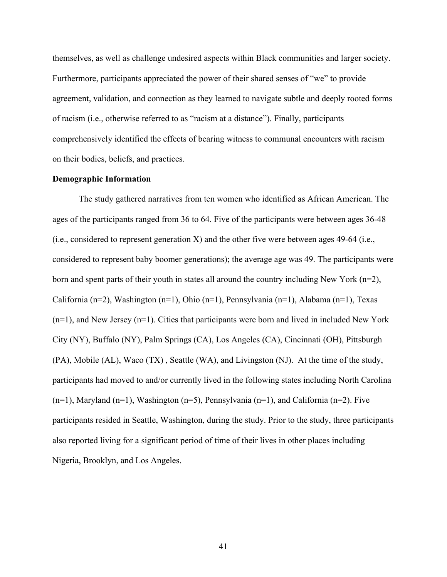themselves, as well as challenge undesired aspects within Black communities and larger society. Furthermore, participants appreciated the power of their shared senses of "we" to provide agreement, validation, and connection as they learned to navigate subtle and deeply rooted forms of racism (i.e., otherwise referred to as "racism at a distance"). Finally, participants comprehensively identified the effects of bearing witness to communal encounters with racism on their bodies, beliefs, and practices.

### **Demographic Information**

The study gathered narratives from ten women who identified as African American. The ages of the participants ranged from 36 to 64. Five of the participants were between ages 36-48 (i.e., considered to represent generation X) and the other five were between ages 49-64 (i.e., considered to represent baby boomer generations); the average age was 49. The participants were born and spent parts of their youth in states all around the country including New York (n=2), California (n=2), Washington (n=1), Ohio (n=1), Pennsylvania (n=1), Alabama (n=1), Texas (n=1), and New Jersey (n=1). Cities that participants were born and lived in included New York City (NY), Buffalo (NY), Palm Springs (CA), Los Angeles (CA), Cincinnati (OH), Pittsburgh (PA), Mobile (AL), Waco (TX) , Seattle (WA), and Livingston (NJ). At the time of the study, participants had moved to and/or currently lived in the following states including North Carolina  $(n=1)$ , Maryland  $(n=1)$ , Washington  $(n=5)$ , Pennsylvania  $(n=1)$ , and California  $(n=2)$ . Five participants resided in Seattle, Washington, during the study. Prior to the study, three participants also reported living for a significant period of time of their lives in other places including Nigeria, Brooklyn, and Los Angeles.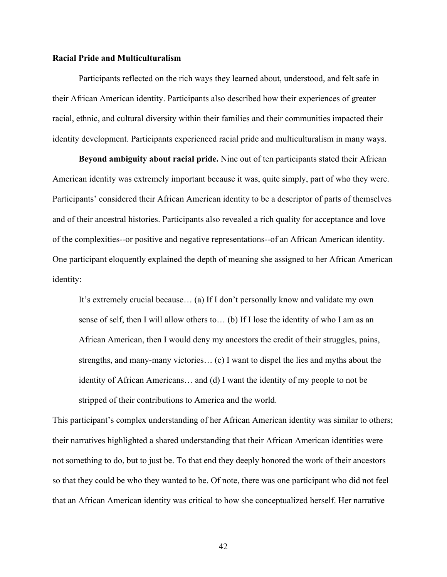### **Racial Pride and Multiculturalism**

Participants reflected on the rich ways they learned about, understood, and felt safe in their African American identity. Participants also described how their experiences of greater racial, ethnic, and cultural diversity within their families and their communities impacted their identity development. Participants experienced racial pride and multiculturalism in many ways.

**Beyond ambiguity about racial pride.** Nine out of ten participants stated their African American identity was extremely important because it was, quite simply, part of who they were. Participants' considered their African American identity to be a descriptor of parts of themselves and of their ancestral histories. Participants also revealed a rich quality for acceptance and love of the complexities--or positive and negative representations--of an African American identity. One participant eloquently explained the depth of meaning she assigned to her African American identity:

It's extremely crucial because… (a) If I don't personally know and validate my own sense of self, then I will allow others to… (b) If I lose the identity of who I am as an African American, then I would deny my ancestors the credit of their struggles, pains, strengths, and many-many victories… (c) I want to dispel the lies and myths about the identity of African Americans… and (d) I want the identity of my people to not be stripped of their contributions to America and the world.

This participant's complex understanding of her African American identity was similar to others; their narratives highlighted a shared understanding that their African American identities were not something to do, but to just be. To that end they deeply honored the work of their ancestors so that they could be who they wanted to be. Of note, there was one participant who did not feel that an African American identity was critical to how she conceptualized herself. Her narrative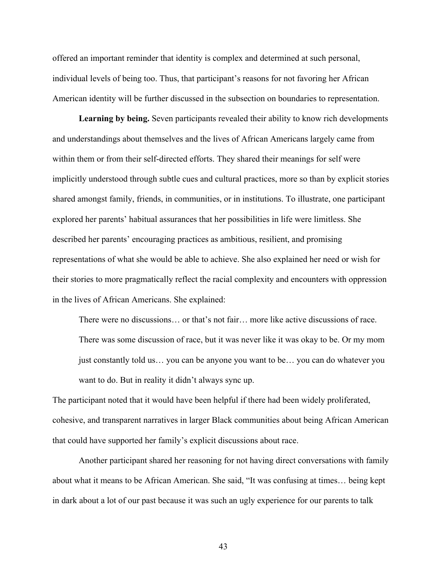offered an important reminder that identity is complex and determined at such personal, individual levels of being too. Thus, that participant's reasons for not favoring her African American identity will be further discussed in the subsection on boundaries to representation.

**Learning by being.** Seven participants revealed their ability to know rich developments and understandings about themselves and the lives of African Americans largely came from within them or from their self-directed efforts. They shared their meanings for self were implicitly understood through subtle cues and cultural practices, more so than by explicit stories shared amongst family, friends, in communities, or in institutions. To illustrate, one participant explored her parents' habitual assurances that her possibilities in life were limitless. She described her parents' encouraging practices as ambitious, resilient, and promising representations of what she would be able to achieve. She also explained her need or wish for their stories to more pragmatically reflect the racial complexity and encounters with oppression in the lives of African Americans. She explained:

There were no discussions… or that's not fair… more like active discussions of race. There was some discussion of race, but it was never like it was okay to be. Or my mom just constantly told us… you can be anyone you want to be… you can do whatever you want to do. But in reality it didn't always sync up.

The participant noted that it would have been helpful if there had been widely proliferated, cohesive, and transparent narratives in larger Black communities about being African American that could have supported her family's explicit discussions about race.

Another participant shared her reasoning for not having direct conversations with family about what it means to be African American. She said, "It was confusing at times… being kept in dark about a lot of our past because it was such an ugly experience for our parents to talk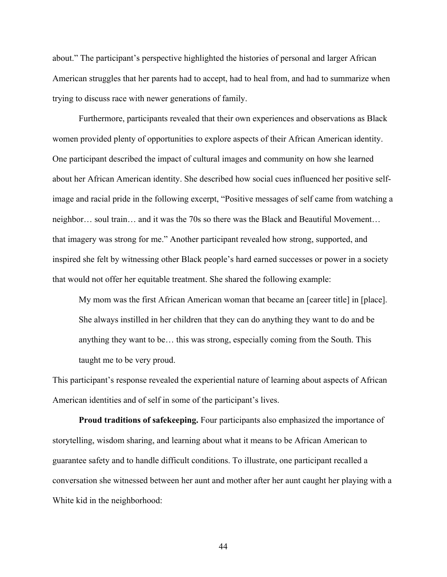about." The participant's perspective highlighted the histories of personal and larger African American struggles that her parents had to accept, had to heal from, and had to summarize when trying to discuss race with newer generations of family.

Furthermore, participants revealed that their own experiences and observations as Black women provided plenty of opportunities to explore aspects of their African American identity. One participant described the impact of cultural images and community on how she learned about her African American identity. She described how social cues influenced her positive selfimage and racial pride in the following excerpt, "Positive messages of self came from watching a neighbor… soul train… and it was the 70s so there was the Black and Beautiful Movement… that imagery was strong for me." Another participant revealed how strong, supported, and inspired she felt by witnessing other Black people's hard earned successes or power in a society that would not offer her equitable treatment. She shared the following example:

My mom was the first African American woman that became an [career title] in [place]. She always instilled in her children that they can do anything they want to do and be anything they want to be… this was strong, especially coming from the South. This taught me to be very proud.

This participant's response revealed the experiential nature of learning about aspects of African American identities and of self in some of the participant's lives.

**Proud traditions of safekeeping.** Four participants also emphasized the importance of storytelling, wisdom sharing, and learning about what it means to be African American to guarantee safety and to handle difficult conditions. To illustrate, one participant recalled a conversation she witnessed between her aunt and mother after her aunt caught her playing with a White kid in the neighborhood: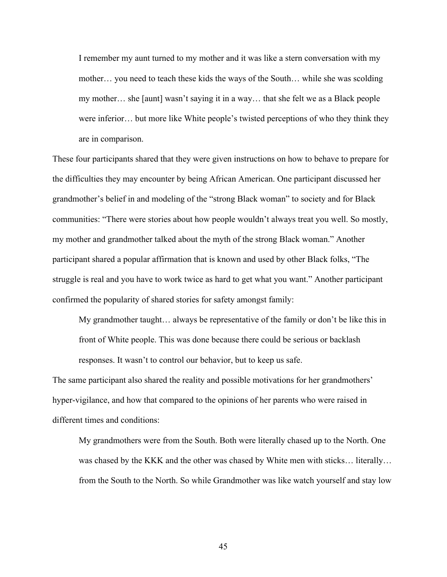I remember my aunt turned to my mother and it was like a stern conversation with my mother… you need to teach these kids the ways of the South… while she was scolding my mother… she [aunt] wasn't saying it in a way… that she felt we as a Black people were inferior… but more like White people's twisted perceptions of who they think they are in comparison.

These four participants shared that they were given instructions on how to behave to prepare for the difficulties they may encounter by being African American. One participant discussed her grandmother's belief in and modeling of the "strong Black woman" to society and for Black communities: "There were stories about how people wouldn't always treat you well. So mostly, my mother and grandmother talked about the myth of the strong Black woman." Another participant shared a popular affirmation that is known and used by other Black folks, "The struggle is real and you have to work twice as hard to get what you want." Another participant confirmed the popularity of shared stories for safety amongst family:

My grandmother taught… always be representative of the family or don't be like this in front of White people. This was done because there could be serious or backlash responses. It wasn't to control our behavior, but to keep us safe.

The same participant also shared the reality and possible motivations for her grandmothers' hyper-vigilance, and how that compared to the opinions of her parents who were raised in different times and conditions:

My grandmothers were from the South. Both were literally chased up to the North. One was chased by the KKK and the other was chased by White men with sticks… literally… from the South to the North. So while Grandmother was like watch yourself and stay low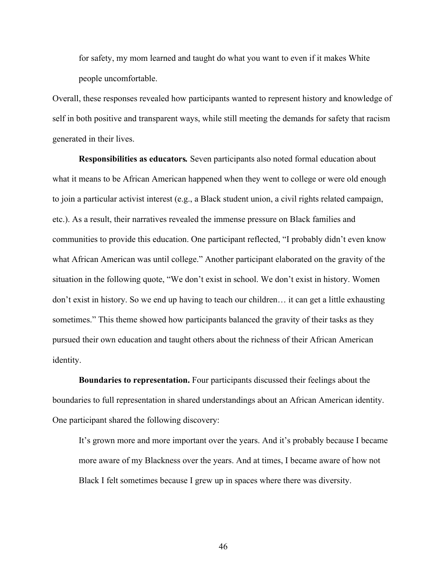for safety, my mom learned and taught do what you want to even if it makes White people uncomfortable.

Overall, these responses revealed how participants wanted to represent history and knowledge of self in both positive and transparent ways, while still meeting the demands for safety that racism generated in their lives.

**Responsibilities as educators***.* Seven participants also noted formal education about what it means to be African American happened when they went to college or were old enough to join a particular activist interest (e.g., a Black student union, a civil rights related campaign, etc.). As a result, their narratives revealed the immense pressure on Black families and communities to provide this education. One participant reflected, "I probably didn't even know what African American was until college." Another participant elaborated on the gravity of the situation in the following quote, "We don't exist in school. We don't exist in history. Women don't exist in history. So we end up having to teach our children… it can get a little exhausting sometimes." This theme showed how participants balanced the gravity of their tasks as they pursued their own education and taught others about the richness of their African American identity.

**Boundaries to representation.** Four participants discussed their feelings about the boundaries to full representation in shared understandings about an African American identity. One participant shared the following discovery:

It's grown more and more important over the years. And it's probably because I became more aware of my Blackness over the years. And at times, I became aware of how not Black I felt sometimes because I grew up in spaces where there was diversity.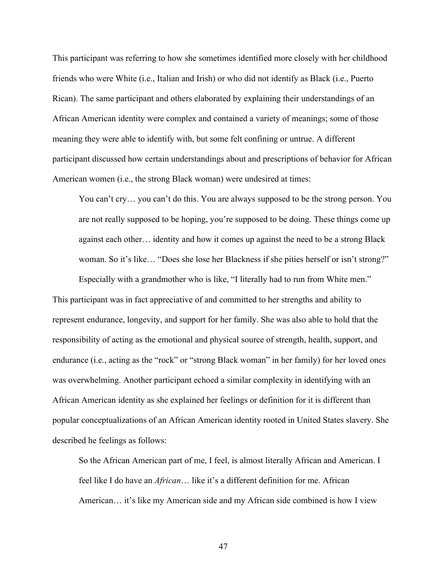This participant was referring to how she sometimes identified more closely with her childhood friends who were White (i.e., Italian and Irish) or who did not identify as Black (i.e., Puerto Rican). The same participant and others elaborated by explaining their understandings of an African American identity were complex and contained a variety of meanings; some of those meaning they were able to identify with, but some felt confining or untrue. A different participant discussed how certain understandings about and prescriptions of behavior for African American women (i.e., the strong Black woman) were undesired at times:

You can't cry… you can't do this. You are always supposed to be the strong person. You are not really supposed to be hoping, you're supposed to be doing. These things come up against each other… identity and how it comes up against the need to be a strong Black woman. So it's like… "Does she lose her Blackness if she pities herself or isn't strong?"

Especially with a grandmother who is like, "I literally had to run from White men." This participant was in fact appreciative of and committed to her strengths and ability to represent endurance, longevity, and support for her family. She was also able to hold that the responsibility of acting as the emotional and physical source of strength, health, support, and endurance (i.e., acting as the "rock" or "strong Black woman" in her family) for her loved ones was overwhelming. Another participant echoed a similar complexity in identifying with an African American identity as she explained her feelings or definition for it is different than popular conceptualizations of an African American identity rooted in United States slavery. She described he feelings as follows:

So the African American part of me, I feel, is almost literally African and American. I feel like I do have an *African*… like it's a different definition for me. African American… it's like my American side and my African side combined is how I view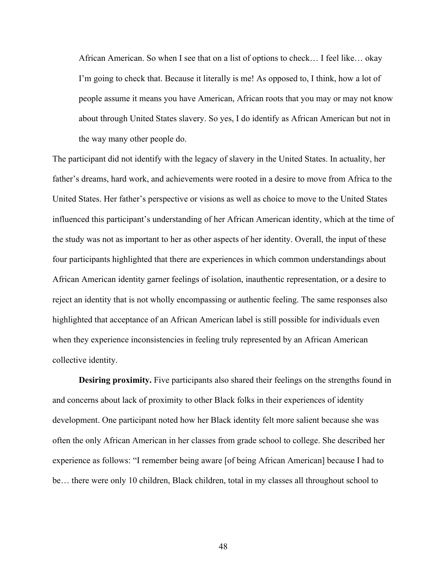African American. So when I see that on a list of options to check… I feel like… okay I'm going to check that. Because it literally is me! As opposed to, I think, how a lot of people assume it means you have American, African roots that you may or may not know about through United States slavery. So yes, I do identify as African American but not in the way many other people do.

The participant did not identify with the legacy of slavery in the United States. In actuality, her father's dreams, hard work, and achievements were rooted in a desire to move from Africa to the United States. Her father's perspective or visions as well as choice to move to the United States influenced this participant's understanding of her African American identity, which at the time of the study was not as important to her as other aspects of her identity. Overall, the input of these four participants highlighted that there are experiences in which common understandings about African American identity garner feelings of isolation, inauthentic representation, or a desire to reject an identity that is not wholly encompassing or authentic feeling. The same responses also highlighted that acceptance of an African American label is still possible for individuals even when they experience inconsistencies in feeling truly represented by an African American collective identity.

**Desiring proximity.** Five participants also shared their feelings on the strengths found in and concerns about lack of proximity to other Black folks in their experiences of identity development. One participant noted how her Black identity felt more salient because she was often the only African American in her classes from grade school to college. She described her experience as follows: "I remember being aware [of being African American] because I had to be… there were only 10 children, Black children, total in my classes all throughout school to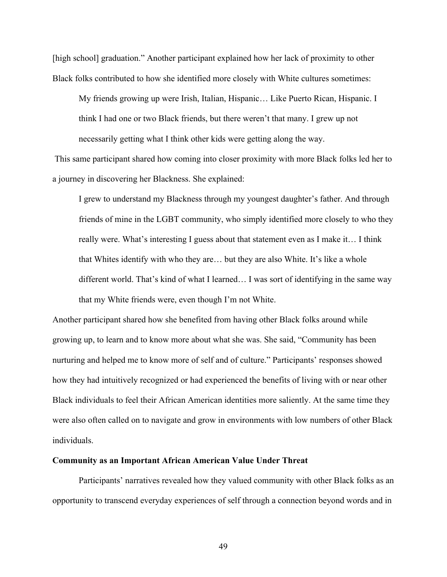[high school] graduation." Another participant explained how her lack of proximity to other Black folks contributed to how she identified more closely with White cultures sometimes:

My friends growing up were Irish, Italian, Hispanic… Like Puerto Rican, Hispanic. I think I had one or two Black friends, but there weren't that many. I grew up not necessarily getting what I think other kids were getting along the way.

This same participant shared how coming into closer proximity with more Black folks led her to a journey in discovering her Blackness. She explained:

I grew to understand my Blackness through my youngest daughter's father. And through friends of mine in the LGBT community, who simply identified more closely to who they really were. What's interesting I guess about that statement even as I make it… I think that Whites identify with who they are… but they are also White. It's like a whole different world. That's kind of what I learned… I was sort of identifying in the same way that my White friends were, even though I'm not White.

Another participant shared how she benefited from having other Black folks around while growing up, to learn and to know more about what she was. She said, "Community has been nurturing and helped me to know more of self and of culture." Participants' responses showed how they had intuitively recognized or had experienced the benefits of living with or near other Black individuals to feel their African American identities more saliently. At the same time they were also often called on to navigate and grow in environments with low numbers of other Black individuals.

### **Community as an Important African American Value Under Threat**

Participants' narratives revealed how they valued community with other Black folks as an opportunity to transcend everyday experiences of self through a connection beyond words and in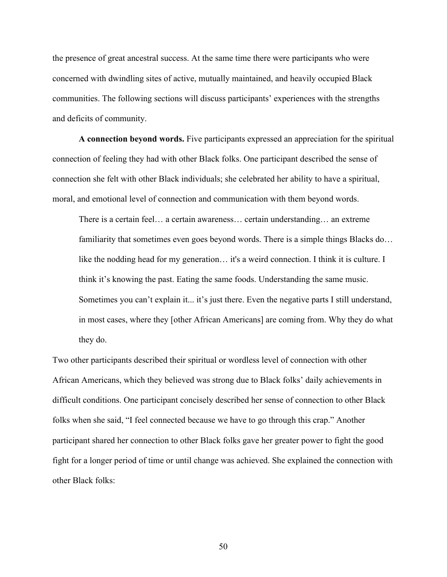the presence of great ancestral success. At the same time there were participants who were concerned with dwindling sites of active, mutually maintained, and heavily occupied Black communities. The following sections will discuss participants' experiences with the strengths and deficits of community.

**A connection beyond words.** Five participants expressed an appreciation for the spiritual connection of feeling they had with other Black folks. One participant described the sense of connection she felt with other Black individuals; she celebrated her ability to have a spiritual, moral, and emotional level of connection and communication with them beyond words.

There is a certain feel… a certain awareness… certain understanding… an extreme familiarity that sometimes even goes beyond words. There is a simple things Blacks do... like the nodding head for my generation… it's a weird connection. I think it is culture. I think it's knowing the past. Eating the same foods. Understanding the same music. Sometimes you can't explain it... it's just there. Even the negative parts I still understand, in most cases, where they [other African Americans] are coming from. Why they do what they do.

Two other participants described their spiritual or wordless level of connection with other African Americans, which they believed was strong due to Black folks' daily achievements in difficult conditions. One participant concisely described her sense of connection to other Black folks when she said, "I feel connected because we have to go through this crap." Another participant shared her connection to other Black folks gave her greater power to fight the good fight for a longer period of time or until change was achieved. She explained the connection with other Black folks: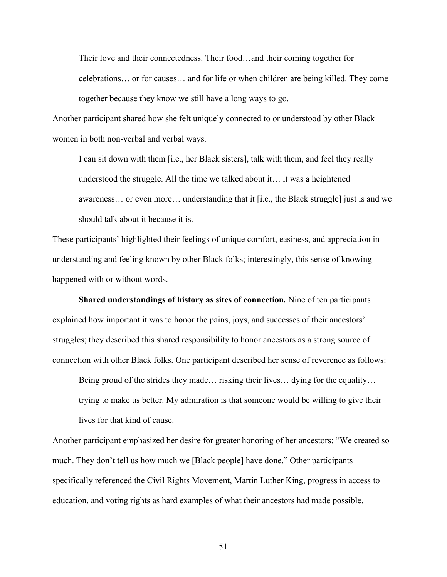Their love and their connectedness. Their food…and their coming together for celebrations… or for causes… and for life or when children are being killed. They come together because they know we still have a long ways to go.

Another participant shared how she felt uniquely connected to or understood by other Black women in both non-verbal and verbal ways.

I can sit down with them [i.e., her Black sisters], talk with them, and feel they really understood the struggle. All the time we talked about it… it was a heightened awareness… or even more… understanding that it [i.e., the Black struggle] just is and we should talk about it because it is.

These participants' highlighted their feelings of unique comfort, easiness, and appreciation in understanding and feeling known by other Black folks; interestingly, this sense of knowing happened with or without words.

**Shared understandings of history as sites of connection***.* Nine of ten participants explained how important it was to honor the pains, joys, and successes of their ancestors' struggles; they described this shared responsibility to honor ancestors as a strong source of connection with other Black folks. One participant described her sense of reverence as follows:

Being proud of the strides they made… risking their lives… dying for the equality… trying to make us better. My admiration is that someone would be willing to give their lives for that kind of cause.

Another participant emphasized her desire for greater honoring of her ancestors: "We created so much. They don't tell us how much we [Black people] have done." Other participants specifically referenced the Civil Rights Movement, Martin Luther King, progress in access to education, and voting rights as hard examples of what their ancestors had made possible.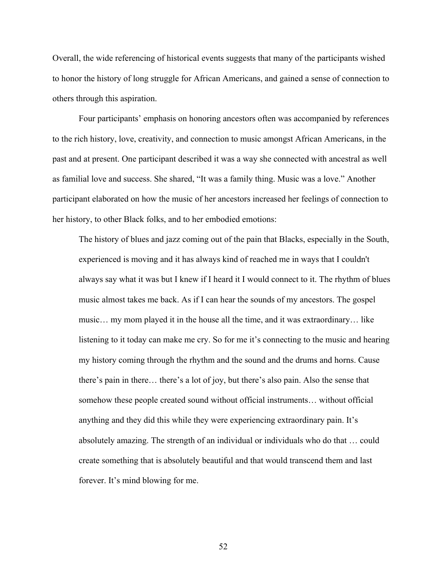Overall, the wide referencing of historical events suggests that many of the participants wished to honor the history of long struggle for African Americans, and gained a sense of connection to others through this aspiration.

Four participants' emphasis on honoring ancestors often was accompanied by references to the rich history, love, creativity, and connection to music amongst African Americans, in the past and at present. One participant described it was a way she connected with ancestral as well as familial love and success. She shared, "It was a family thing. Music was a love." Another participant elaborated on how the music of her ancestors increased her feelings of connection to her history, to other Black folks, and to her embodied emotions:

The history of blues and jazz coming out of the pain that Blacks, especially in the South, experienced is moving and it has always kind of reached me in ways that I couldn't always say what it was but I knew if I heard it I would connect to it. The rhythm of blues music almost takes me back. As if I can hear the sounds of my ancestors. The gospel music… my mom played it in the house all the time, and it was extraordinary… like listening to it today can make me cry. So for me it's connecting to the music and hearing my history coming through the rhythm and the sound and the drums and horns. Cause there's pain in there… there's a lot of joy, but there's also pain. Also the sense that somehow these people created sound without official instruments… without official anything and they did this while they were experiencing extraordinary pain. It's absolutely amazing. The strength of an individual or individuals who do that … could create something that is absolutely beautiful and that would transcend them and last forever. It's mind blowing for me.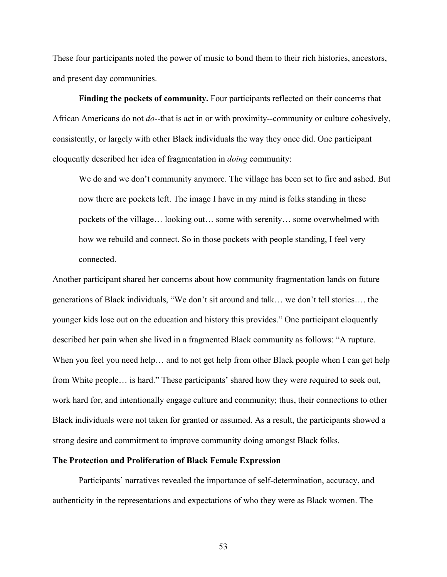These four participants noted the power of music to bond them to their rich histories, ancestors, and present day communities.

**Finding the pockets of community.** Four participants reflected on their concerns that African Americans do not *do*--that is act in or with proximity--community or culture cohesively, consistently, or largely with other Black individuals the way they once did. One participant eloquently described her idea of fragmentation in *doing* community:

We do and we don't community anymore. The village has been set to fire and ashed. But now there are pockets left. The image I have in my mind is folks standing in these pockets of the village… looking out… some with serenity… some overwhelmed with how we rebuild and connect. So in those pockets with people standing, I feel very connected.

Another participant shared her concerns about how community fragmentation lands on future generations of Black individuals, "We don't sit around and talk… we don't tell stories…. the younger kids lose out on the education and history this provides." One participant eloquently described her pain when she lived in a fragmented Black community as follows: "A rupture. When you feel you need help... and to not get help from other Black people when I can get help from White people… is hard." These participants' shared how they were required to seek out, work hard for, and intentionally engage culture and community; thus, their connections to other Black individuals were not taken for granted or assumed. As a result, the participants showed a strong desire and commitment to improve community doing amongst Black folks.

### **The Protection and Proliferation of Black Female Expression**

Participants' narratives revealed the importance of self-determination, accuracy, and authenticity in the representations and expectations of who they were as Black women. The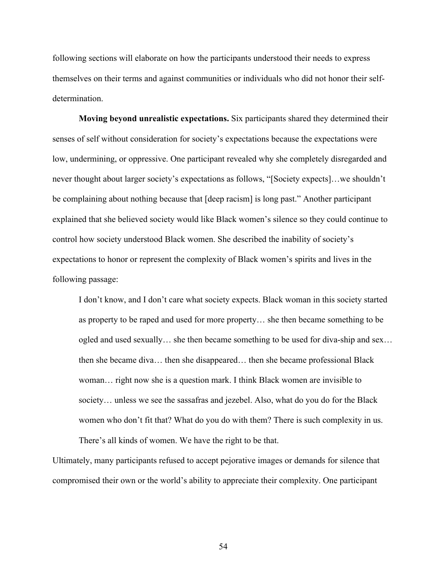following sections will elaborate on how the participants understood their needs to express themselves on their terms and against communities or individuals who did not honor their selfdetermination.

**Moving beyond unrealistic expectations.** Six participants shared they determined their senses of self without consideration for society's expectations because the expectations were low, undermining, or oppressive. One participant revealed why she completely disregarded and never thought about larger society's expectations as follows, "[Society expects]…we shouldn't be complaining about nothing because that [deep racism] is long past." Another participant explained that she believed society would like Black women's silence so they could continue to control how society understood Black women. She described the inability of society's expectations to honor or represent the complexity of Black women's spirits and lives in the following passage:

I don't know, and I don't care what society expects. Black woman in this society started as property to be raped and used for more property… she then became something to be ogled and used sexually… she then became something to be used for diva-ship and sex… then she became diva… then she disappeared… then she became professional Black woman… right now she is a question mark. I think Black women are invisible to society… unless we see the sassafras and jezebel. Also, what do you do for the Black women who don't fit that? What do you do with them? There is such complexity in us. There's all kinds of women. We have the right to be that.

Ultimately, many participants refused to accept pejorative images or demands for silence that compromised their own or the world's ability to appreciate their complexity. One participant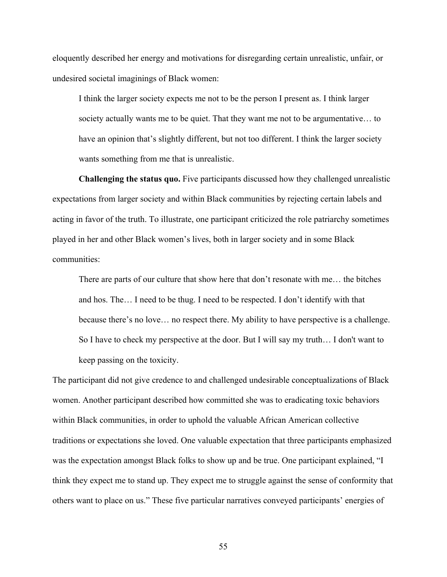eloquently described her energy and motivations for disregarding certain unrealistic, unfair, or undesired societal imaginings of Black women:

I think the larger society expects me not to be the person I present as. I think larger society actually wants me to be quiet. That they want me not to be argumentative… to have an opinion that's slightly different, but not too different. I think the larger society wants something from me that is unrealistic.

**Challenging the status quo.** Five participants discussed how they challenged unrealistic expectations from larger society and within Black communities by rejecting certain labels and acting in favor of the truth. To illustrate, one participant criticized the role patriarchy sometimes played in her and other Black women's lives, both in larger society and in some Black communities:

There are parts of our culture that show here that don't resonate with me… the bitches and hos. The… I need to be thug. I need to be respected. I don't identify with that because there's no love… no respect there. My ability to have perspective is a challenge. So I have to check my perspective at the door. But I will say my truth… I don't want to keep passing on the toxicity.

The participant did not give credence to and challenged undesirable conceptualizations of Black women. Another participant described how committed she was to eradicating toxic behaviors within Black communities, in order to uphold the valuable African American collective traditions or expectations she loved. One valuable expectation that three participants emphasized was the expectation amongst Black folks to show up and be true. One participant explained, "I think they expect me to stand up. They expect me to struggle against the sense of conformity that others want to place on us." These five particular narratives conveyed participants' energies of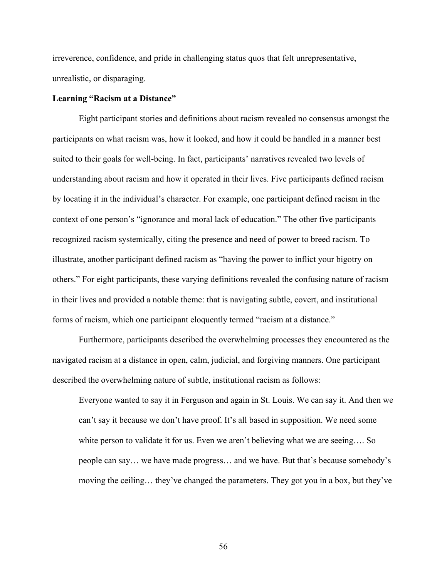irreverence, confidence, and pride in challenging status quos that felt unrepresentative, unrealistic, or disparaging.

#### **Learning "Racism at a Distance"**

Eight participant stories and definitions about racism revealed no consensus amongst the participants on what racism was, how it looked, and how it could be handled in a manner best suited to their goals for well-being. In fact, participants' narratives revealed two levels of understanding about racism and how it operated in their lives. Five participants defined racism by locating it in the individual's character. For example, one participant defined racism in the context of one person's "ignorance and moral lack of education." The other five participants recognized racism systemically, citing the presence and need of power to breed racism. To illustrate, another participant defined racism as "having the power to inflict your bigotry on others." For eight participants, these varying definitions revealed the confusing nature of racism in their lives and provided a notable theme: that is navigating subtle, covert, and institutional forms of racism, which one participant eloquently termed "racism at a distance."

Furthermore, participants described the overwhelming processes they encountered as the navigated racism at a distance in open, calm, judicial, and forgiving manners. One participant described the overwhelming nature of subtle, institutional racism as follows:

Everyone wanted to say it in Ferguson and again in St. Louis. We can say it. And then we can't say it because we don't have proof. It's all based in supposition. We need some white person to validate it for us. Even we aren't believing what we are seeing…. So people can say… we have made progress… and we have. But that's because somebody's moving the ceiling… they've changed the parameters. They got you in a box, but they've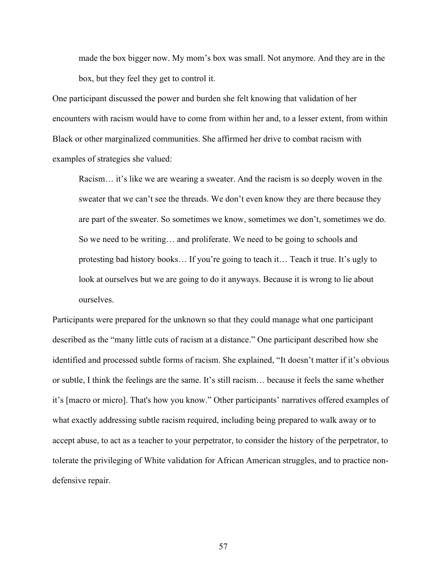made the box bigger now. My mom's box was small. Not anymore. And they are in the box, but they feel they get to control it.

One participant discussed the power and burden she felt knowing that validation of her encounters with racism would have to come from within her and, to a lesser extent, from within Black or other marginalized communities. She affirmed her drive to combat racism with examples of strategies she valued:

Racism… it's like we are wearing a sweater. And the racism is so deeply woven in the sweater that we can't see the threads. We don't even know they are there because they are part of the sweater. So sometimes we know, sometimes we don't, sometimes we do. So we need to be writing… and proliferate. We need to be going to schools and protesting bad history books… If you're going to teach it… Teach it true. It's ugly to look at ourselves but we are going to do it anyways. Because it is wrong to lie about ourselves.

Participants were prepared for the unknown so that they could manage what one participant described as the "many little cuts of racism at a distance." One participant described how she identified and processed subtle forms of racism. She explained, "It doesn't matter if it's obvious or subtle, I think the feelings are the same. It's still racism… because it feels the same whether it's [macro or micro]. That's how you know." Other participants' narratives offered examples of what exactly addressing subtle racism required, including being prepared to walk away or to accept abuse, to act as a teacher to your perpetrator, to consider the history of the perpetrator, to tolerate the privileging of White validation for African American struggles, and to practice nondefensive repair.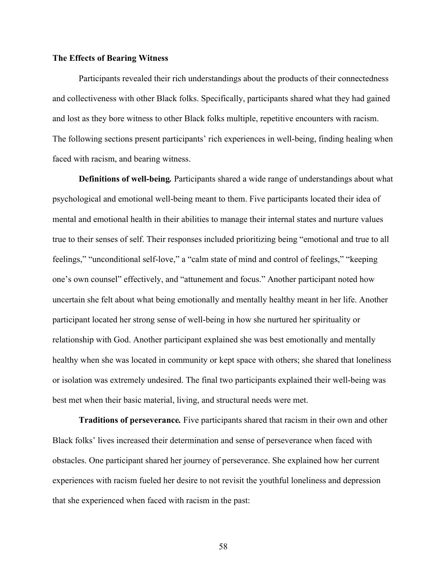### **The Effects of Bearing Witness**

Participants revealed their rich understandings about the products of their connectedness and collectiveness with other Black folks. Specifically, participants shared what they had gained and lost as they bore witness to other Black folks multiple, repetitive encounters with racism. The following sections present participants' rich experiences in well-being, finding healing when faced with racism, and bearing witness.

**Definitions of well-being***.* Participants shared a wide range of understandings about what psychological and emotional well-being meant to them. Five participants located their idea of mental and emotional health in their abilities to manage their internal states and nurture values true to their senses of self. Their responses included prioritizing being "emotional and true to all feelings," "unconditional self-love," a "calm state of mind and control of feelings," "keeping one's own counsel" effectively, and "attunement and focus." Another participant noted how uncertain she felt about what being emotionally and mentally healthy meant in her life. Another participant located her strong sense of well-being in how she nurtured her spirituality or relationship with God. Another participant explained she was best emotionally and mentally healthy when she was located in community or kept space with others; she shared that loneliness or isolation was extremely undesired. The final two participants explained their well-being was best met when their basic material, living, and structural needs were met.

**Traditions of perseverance***.* Five participants shared that racism in their own and other Black folks' lives increased their determination and sense of perseverance when faced with obstacles. One participant shared her journey of perseverance. She explained how her current experiences with racism fueled her desire to not revisit the youthful loneliness and depression that she experienced when faced with racism in the past: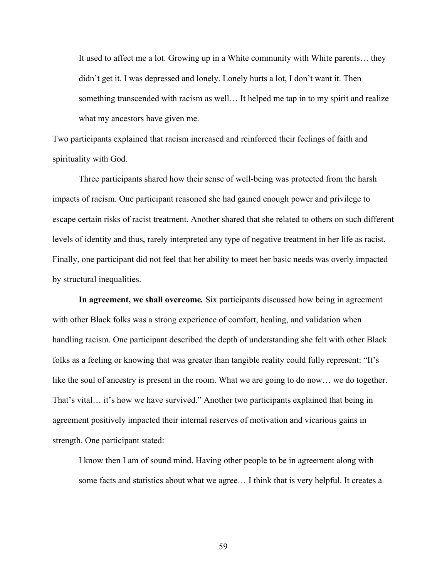It used to affect me a lot. Growing up in a White community with White parents… they didn't get it. I was depressed and lonely. Lonely hurts a lot, I don't want it. Then something transcended with racism as well… It helped me tap in to my spirit and realize what my ancestors have given me.

Two participants explained that racism increased and reinforced their feelings of faith and spirituality with God.

Three participants shared how their sense of well-being was protected from the harsh impacts of racism. One participant reasoned she had gained enough power and privilege to escape certain risks of racist treatment. Another shared that she related to others on such different levels of identity and thus, rarely interpreted any type of negative treatment in her life as racist. Finally, one participant did not feel that her ability to meet her basic needs was overly impacted by structural inequalities.

**In agreement, we shall overcome***.* Six participants discussed how being in agreement with other Black folks was a strong experience of comfort, healing, and validation when handling racism. One participant described the depth of understanding she felt with other Black folks as a feeling or knowing that was greater than tangible reality could fully represent: "It's like the soul of ancestry is present in the room. What we are going to do now… we do together. That's vital… it's how we have survived." Another two participants explained that being in agreement positively impacted their internal reserves of motivation and vicarious gains in strength. One participant stated:

I know then I am of sound mind. Having other people to be in agreement along with some facts and statistics about what we agree… I think that is very helpful. It creates a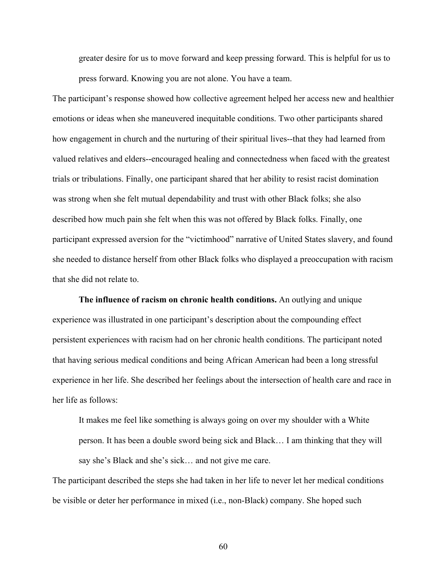greater desire for us to move forward and keep pressing forward. This is helpful for us to press forward. Knowing you are not alone. You have a team.

The participant's response showed how collective agreement helped her access new and healthier emotions or ideas when she maneuvered inequitable conditions. Two other participants shared how engagement in church and the nurturing of their spiritual lives--that they had learned from valued relatives and elders--encouraged healing and connectedness when faced with the greatest trials or tribulations. Finally, one participant shared that her ability to resist racist domination was strong when she felt mutual dependability and trust with other Black folks; she also described how much pain she felt when this was not offered by Black folks. Finally, one participant expressed aversion for the "victimhood" narrative of United States slavery, and found she needed to distance herself from other Black folks who displayed a preoccupation with racism that she did not relate to.

**The influence of racism on chronic health conditions.** An outlying and unique experience was illustrated in one participant's description about the compounding effect persistent experiences with racism had on her chronic health conditions. The participant noted that having serious medical conditions and being African American had been a long stressful experience in her life. She described her feelings about the intersection of health care and race in her life as follows:

It makes me feel like something is always going on over my shoulder with a White person. It has been a double sword being sick and Black… I am thinking that they will say she's Black and she's sick… and not give me care.

The participant described the steps she had taken in her life to never let her medical conditions be visible or deter her performance in mixed (i.e., non-Black) company. She hoped such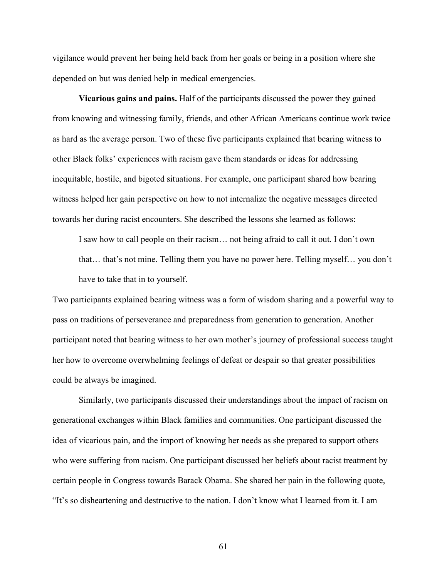vigilance would prevent her being held back from her goals or being in a position where she depended on but was denied help in medical emergencies.

**Vicarious gains and pains.** Half of the participants discussed the power they gained from knowing and witnessing family, friends, and other African Americans continue work twice as hard as the average person. Two of these five participants explained that bearing witness to other Black folks' experiences with racism gave them standards or ideas for addressing inequitable, hostile, and bigoted situations. For example, one participant shared how bearing witness helped her gain perspective on how to not internalize the negative messages directed towards her during racist encounters. She described the lessons she learned as follows:

I saw how to call people on their racism… not being afraid to call it out. I don't own that… that's not mine. Telling them you have no power here. Telling myself… you don't have to take that in to yourself.

Two participants explained bearing witness was a form of wisdom sharing and a powerful way to pass on traditions of perseverance and preparedness from generation to generation. Another participant noted that bearing witness to her own mother's journey of professional success taught her how to overcome overwhelming feelings of defeat or despair so that greater possibilities could be always be imagined.

Similarly, two participants discussed their understandings about the impact of racism on generational exchanges within Black families and communities. One participant discussed the idea of vicarious pain, and the import of knowing her needs as she prepared to support others who were suffering from racism. One participant discussed her beliefs about racist treatment by certain people in Congress towards Barack Obama. She shared her pain in the following quote, "It's so disheartening and destructive to the nation. I don't know what I learned from it. I am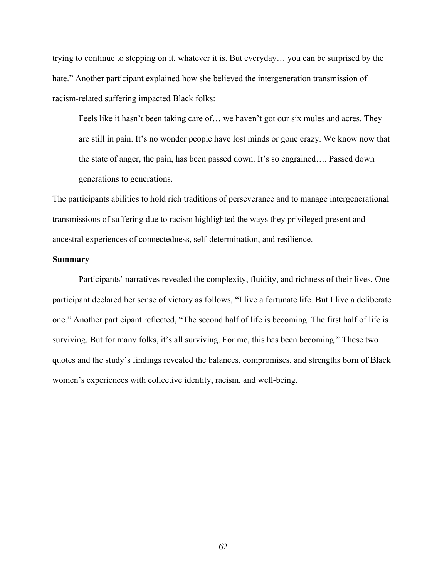trying to continue to stepping on it, whatever it is. But everyday… you can be surprised by the hate." Another participant explained how she believed the intergeneration transmission of racism-related suffering impacted Black folks:

Feels like it hasn't been taking care of… we haven't got our six mules and acres. They are still in pain. It's no wonder people have lost minds or gone crazy. We know now that the state of anger, the pain, has been passed down. It's so engrained…. Passed down generations to generations.

The participants abilities to hold rich traditions of perseverance and to manage intergenerational transmissions of suffering due to racism highlighted the ways they privileged present and ancestral experiences of connectedness, self-determination, and resilience.

#### **Summary**

Participants' narratives revealed the complexity, fluidity, and richness of their lives. One participant declared her sense of victory as follows, "I live a fortunate life. But I live a deliberate one." Another participant reflected, "The second half of life is becoming. The first half of life is surviving. But for many folks, it's all surviving. For me, this has been becoming." These two quotes and the study's findings revealed the balances, compromises, and strengths born of Black women's experiences with collective identity, racism, and well-being.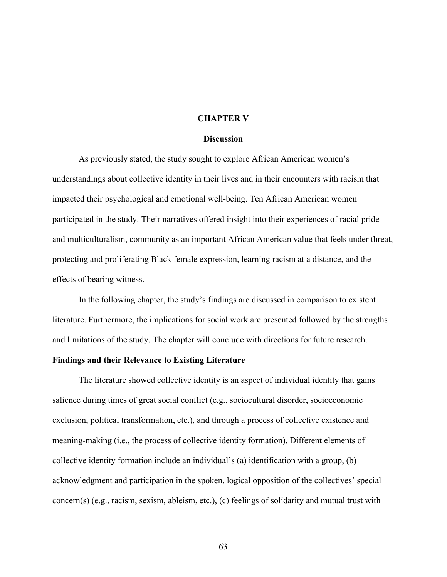#### **CHAPTER V**

#### **Discussion**

As previously stated, the study sought to explore African American women's understandings about collective identity in their lives and in their encounters with racism that impacted their psychological and emotional well-being. Ten African American women participated in the study. Their narratives offered insight into their experiences of racial pride and multiculturalism, community as an important African American value that feels under threat, protecting and proliferating Black female expression, learning racism at a distance, and the effects of bearing witness.

In the following chapter, the study's findings are discussed in comparison to existent literature. Furthermore, the implications for social work are presented followed by the strengths and limitations of the study. The chapter will conclude with directions for future research.

## **Findings and their Relevance to Existing Literature**

The literature showed collective identity is an aspect of individual identity that gains salience during times of great social conflict (e.g., sociocultural disorder, socioeconomic exclusion, political transformation, etc.), and through a process of collective existence and meaning-making (i.e., the process of collective identity formation). Different elements of collective identity formation include an individual's (a) identification with a group, (b) acknowledgment and participation in the spoken, logical opposition of the collectives' special concern(s) (e.g., racism, sexism, ableism, etc.), (c) feelings of solidarity and mutual trust with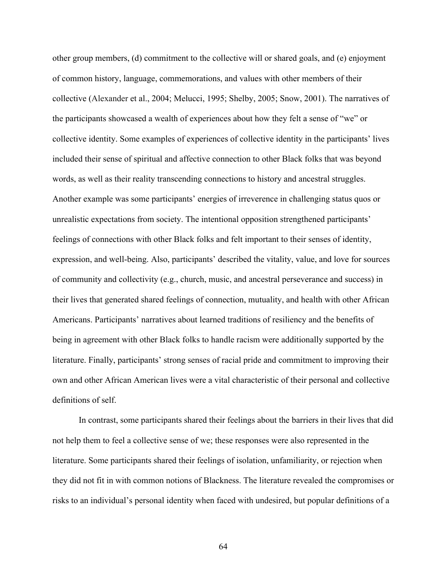other group members, (d) commitment to the collective will or shared goals, and (e) enjoyment of common history, language, commemorations, and values with other members of their collective (Alexander et al., 2004; Melucci, 1995; Shelby, 2005; Snow, 2001). The narratives of the participants showcased a wealth of experiences about how they felt a sense of "we" or collective identity. Some examples of experiences of collective identity in the participants' lives included their sense of spiritual and affective connection to other Black folks that was beyond words, as well as their reality transcending connections to history and ancestral struggles. Another example was some participants' energies of irreverence in challenging status quos or unrealistic expectations from society. The intentional opposition strengthened participants' feelings of connections with other Black folks and felt important to their senses of identity, expression, and well-being. Also, participants' described the vitality, value, and love for sources of community and collectivity (e.g., church, music, and ancestral perseverance and success) in their lives that generated shared feelings of connection, mutuality, and health with other African Americans. Participants' narratives about learned traditions of resiliency and the benefits of being in agreement with other Black folks to handle racism were additionally supported by the literature. Finally, participants' strong senses of racial pride and commitment to improving their own and other African American lives were a vital characteristic of their personal and collective definitions of self.

In contrast, some participants shared their feelings about the barriers in their lives that did not help them to feel a collective sense of we; these responses were also represented in the literature. Some participants shared their feelings of isolation, unfamiliarity, or rejection when they did not fit in with common notions of Blackness. The literature revealed the compromises or risks to an individual's personal identity when faced with undesired, but popular definitions of a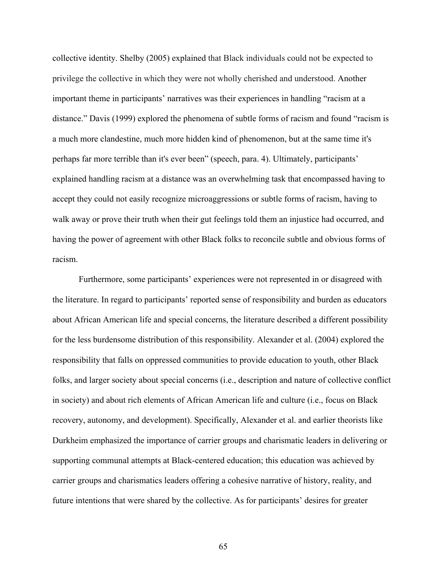collective identity. Shelby (2005) explained that Black individuals could not be expected to privilege the collective in which they were not wholly cherished and understood. Another important theme in participants' narratives was their experiences in handling "racism at a distance." Davis (1999) explored the phenomena of subtle forms of racism and found "racism is a much more clandestine, much more hidden kind of phenomenon, but at the same time it's perhaps far more terrible than it's ever been" (speech, para. 4). Ultimately, participants' explained handling racism at a distance was an overwhelming task that encompassed having to accept they could not easily recognize microaggressions or subtle forms of racism, having to walk away or prove their truth when their gut feelings told them an injustice had occurred, and having the power of agreement with other Black folks to reconcile subtle and obvious forms of racism.

Furthermore, some participants' experiences were not represented in or disagreed with the literature. In regard to participants' reported sense of responsibility and burden as educators about African American life and special concerns, the literature described a different possibility for the less burdensome distribution of this responsibility. Alexander et al. (2004) explored the responsibility that falls on oppressed communities to provide education to youth, other Black folks, and larger society about special concerns (i.e., description and nature of collective conflict in society) and about rich elements of African American life and culture (i.e., focus on Black recovery, autonomy, and development). Specifically, Alexander et al. and earlier theorists like Durkheim emphasized the importance of carrier groups and charismatic leaders in delivering or supporting communal attempts at Black-centered education; this education was achieved by carrier groups and charismatics leaders offering a cohesive narrative of history, reality, and future intentions that were shared by the collective. As for participants' desires for greater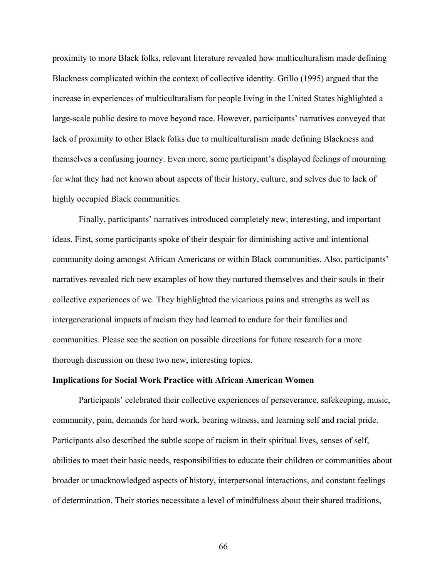proximity to more Black folks, relevant literature revealed how multiculturalism made defining Blackness complicated within the context of collective identity. Grillo (1995) argued that the increase in experiences of multiculturalism for people living in the United States highlighted a large-scale public desire to move beyond race. However, participants' narratives conveyed that lack of proximity to other Black folks due to multiculturalism made defining Blackness and themselves a confusing journey. Even more, some participant's displayed feelings of mourning for what they had not known about aspects of their history, culture, and selves due to lack of highly occupied Black communities.

Finally, participants' narratives introduced completely new, interesting, and important ideas. First, some participants spoke of their despair for diminishing active and intentional community doing amongst African Americans or within Black communities. Also, participants' narratives revealed rich new examples of how they nurtured themselves and their souls in their collective experiences of we. They highlighted the vicarious pains and strengths as well as intergenerational impacts of racism they had learned to endure for their families and communities. Please see the section on possible directions for future research for a more thorough discussion on these two new, interesting topics.

## **Implications for Social Work Practice with African American Women**

Participants' celebrated their collective experiences of perseverance, safekeeping, music, community, pain, demands for hard work, bearing witness, and learning self and racial pride. Participants also described the subtle scope of racism in their spiritual lives, senses of self, abilities to meet their basic needs, responsibilities to educate their children or communities about broader or unacknowledged aspects of history, interpersonal interactions, and constant feelings of determination. Their stories necessitate a level of mindfulness about their shared traditions,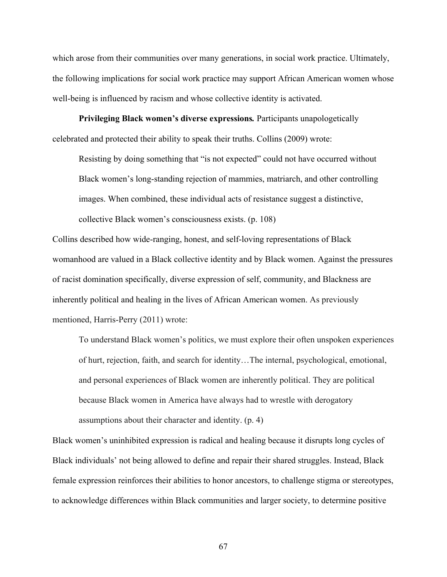which arose from their communities over many generations, in social work practice. Ultimately, the following implications for social work practice may support African American women whose well-being is influenced by racism and whose collective identity is activated.

**Privileging Black women's diverse expressions***.* Participants unapologetically celebrated and protected their ability to speak their truths. Collins (2009) wrote:

Resisting by doing something that "is not expected" could not have occurred without Black women's long-standing rejection of mammies, matriarch, and other controlling images. When combined, these individual acts of resistance suggest a distinctive, collective Black women's consciousness exists. (p. 108)

Collins described how wide-ranging, honest, and self-loving representations of Black womanhood are valued in a Black collective identity and by Black women. Against the pressures of racist domination specifically, diverse expression of self, community, and Blackness are inherently political and healing in the lives of African American women. As previously mentioned, Harris-Perry (2011) wrote:

To understand Black women's politics, we must explore their often unspoken experiences of hurt, rejection, faith, and search for identity…The internal, psychological, emotional, and personal experiences of Black women are inherently political. They are political because Black women in America have always had to wrestle with derogatory assumptions about their character and identity. (p. 4)

Black women's uninhibited expression is radical and healing because it disrupts long cycles of Black individuals' not being allowed to define and repair their shared struggles. Instead, Black female expression reinforces their abilities to honor ancestors, to challenge stigma or stereotypes, to acknowledge differences within Black communities and larger society, to determine positive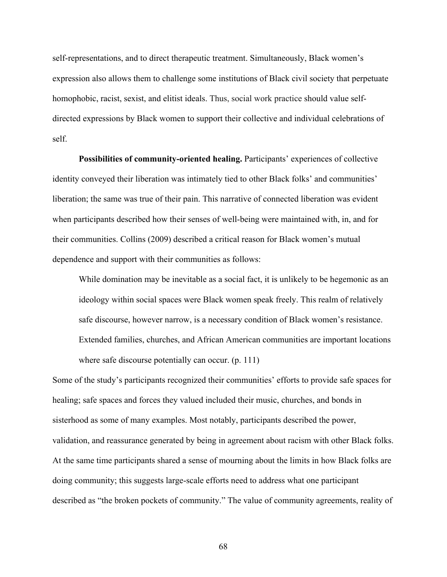self-representations, and to direct therapeutic treatment. Simultaneously, Black women's expression also allows them to challenge some institutions of Black civil society that perpetuate homophobic, racist, sexist, and elitist ideals. Thus, social work practice should value selfdirected expressions by Black women to support their collective and individual celebrations of self.

**Possibilities of community-oriented healing.** Participants' experiences of collective identity conveyed their liberation was intimately tied to other Black folks' and communities' liberation; the same was true of their pain. This narrative of connected liberation was evident when participants described how their senses of well-being were maintained with, in, and for their communities. Collins (2009) described a critical reason for Black women's mutual dependence and support with their communities as follows:

While domination may be inevitable as a social fact, it is unlikely to be hegemonic as an ideology within social spaces were Black women speak freely. This realm of relatively safe discourse, however narrow, is a necessary condition of Black women's resistance. Extended families, churches, and African American communities are important locations where safe discourse potentially can occur. (p. 111)

Some of the study's participants recognized their communities' efforts to provide safe spaces for healing; safe spaces and forces they valued included their music, churches, and bonds in sisterhood as some of many examples. Most notably, participants described the power, validation, and reassurance generated by being in agreement about racism with other Black folks. At the same time participants shared a sense of mourning about the limits in how Black folks are doing community; this suggests large-scale efforts need to address what one participant described as "the broken pockets of community." The value of community agreements, reality of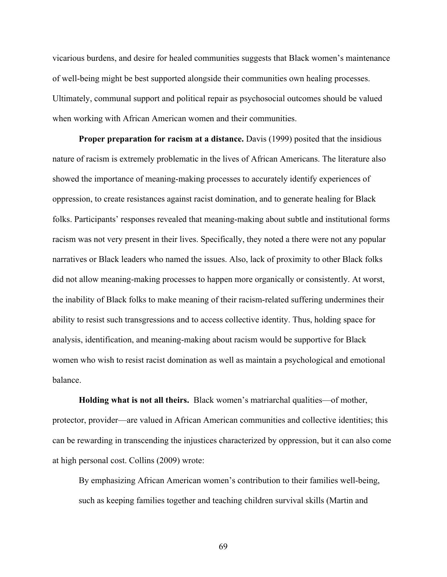vicarious burdens, and desire for healed communities suggests that Black women's maintenance of well-being might be best supported alongside their communities own healing processes. Ultimately, communal support and political repair as psychosocial outcomes should be valued when working with African American women and their communities.

**Proper preparation for racism at a distance.** Davis (1999) posited that the insidious nature of racism is extremely problematic in the lives of African Americans. The literature also showed the importance of meaning-making processes to accurately identify experiences of oppression, to create resistances against racist domination, and to generate healing for Black folks. Participants' responses revealed that meaning-making about subtle and institutional forms racism was not very present in their lives. Specifically, they noted a there were not any popular narratives or Black leaders who named the issues. Also, lack of proximity to other Black folks did not allow meaning-making processes to happen more organically or consistently. At worst, the inability of Black folks to make meaning of their racism-related suffering undermines their ability to resist such transgressions and to access collective identity. Thus, holding space for analysis, identification, and meaning-making about racism would be supportive for Black women who wish to resist racist domination as well as maintain a psychological and emotional balance.

**Holding what is not all theirs.** Black women's matriarchal qualities—of mother, protector, provider—are valued in African American communities and collective identities; this can be rewarding in transcending the injustices characterized by oppression, but it can also come at high personal cost. Collins (2009) wrote:

By emphasizing African American women's contribution to their families well-being, such as keeping families together and teaching children survival skills (Martin and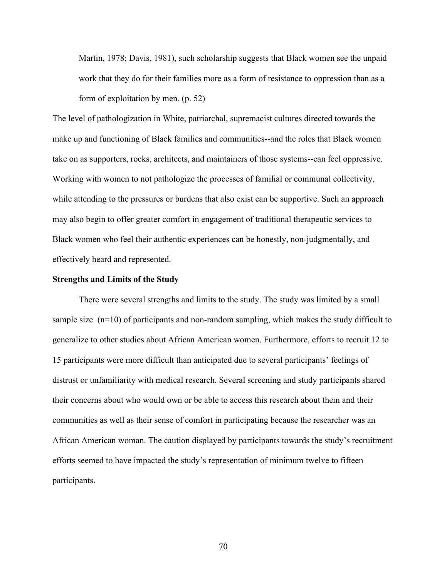Martin, 1978; Davis, 1981), such scholarship suggests that Black women see the unpaid work that they do for their families more as a form of resistance to oppression than as a form of exploitation by men. (p. 52)

The level of pathologization in White, patriarchal, supremacist cultures directed towards the make up and functioning of Black families and communities--and the roles that Black women take on as supporters, rocks, architects, and maintainers of those systems--can feel oppressive. Working with women to not pathologize the processes of familial or communal collectivity, while attending to the pressures or burdens that also exist can be supportive. Such an approach may also begin to offer greater comfort in engagement of traditional therapeutic services to Black women who feel their authentic experiences can be honestly, non-judgmentally, and effectively heard and represented.

#### **Strengths and Limits of the Study**

There were several strengths and limits to the study. The study was limited by a small sample size (n=10) of participants and non-random sampling, which makes the study difficult to generalize to other studies about African American women. Furthermore, efforts to recruit 12 to 15 participants were more difficult than anticipated due to several participants' feelings of distrust or unfamiliarity with medical research. Several screening and study participants shared their concerns about who would own or be able to access this research about them and their communities as well as their sense of comfort in participating because the researcher was an African American woman. The caution displayed by participants towards the study's recruitment efforts seemed to have impacted the study's representation of minimum twelve to fifteen participants.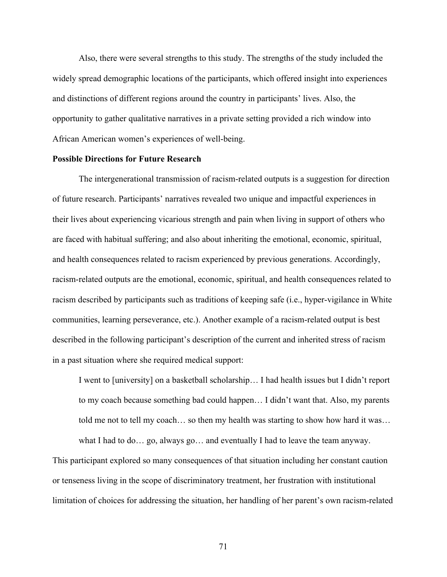Also, there were several strengths to this study. The strengths of the study included the widely spread demographic locations of the participants, which offered insight into experiences and distinctions of different regions around the country in participants' lives. Also, the opportunity to gather qualitative narratives in a private setting provided a rich window into African American women's experiences of well-being.

#### **Possible Directions for Future Research**

The intergenerational transmission of racism-related outputs is a suggestion for direction of future research. Participants' narratives revealed two unique and impactful experiences in their lives about experiencing vicarious strength and pain when living in support of others who are faced with habitual suffering; and also about inheriting the emotional, economic, spiritual, and health consequences related to racism experienced by previous generations. Accordingly, racism-related outputs are the emotional, economic, spiritual, and health consequences related to racism described by participants such as traditions of keeping safe (i.e., hyper-vigilance in White communities, learning perseverance, etc.). Another example of a racism-related output is best described in the following participant's description of the current and inherited stress of racism in a past situation where she required medical support:

I went to [university] on a basketball scholarship… I had health issues but I didn't report to my coach because something bad could happen… I didn't want that. Also, my parents told me not to tell my coach… so then my health was starting to show how hard it was…

This participant explored so many consequences of that situation including her constant caution or tenseness living in the scope of discriminatory treatment, her frustration with institutional limitation of choices for addressing the situation, her handling of her parent's own racism-related

what I had to do... go, always go... and eventually I had to leave the team anyway.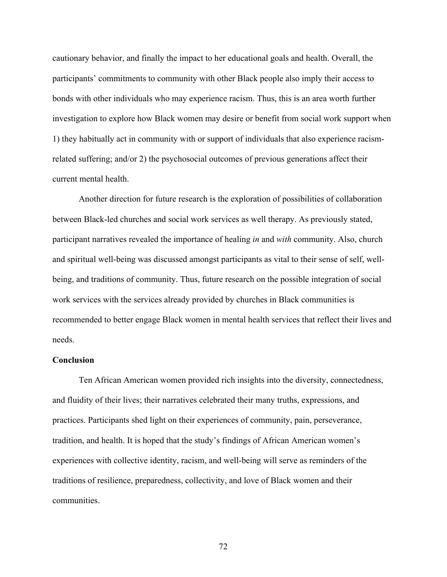cautionary behavior, and finally the impact to her educational goals and health. Overall, the participants' commitments to community with other Black people also imply their access to bonds with other individuals who may experience racism. Thus, this is an area worth further investigation to explore how Black women may desire or benefit from social work support when 1) they habitually act in community with or support of individuals that also experience racismrelated suffering; and/or 2) the psychosocial outcomes of previous generations affect their current mental health.

Another direction for future research is the exploration of possibilities of collaboration between Black-led churches and social work services as well therapy. As previously stated, participant narratives revealed the importance of healing *in* and *with* community. Also, church and spiritual well-being was discussed amongst participants as vital to their sense of self, wellbeing, and traditions of community. Thus, future research on the possible integration of social work services with the services already provided by churches in Black communities is recommended to better engage Black women in mental health services that reflect their lives and needs.

#### **Conclusion**

Ten African American women provided rich insights into the diversity, connectedness, and fluidity of their lives; their narratives celebrated their many truths, expressions, and practices. Participants shed light on their experiences of community, pain, perseverance, tradition, and health. It is hoped that the study's findings of African American women's experiences with collective identity, racism, and well-being will serve as reminders of the traditions of resilience, preparedness, collectivity, and love of Black women and their communities.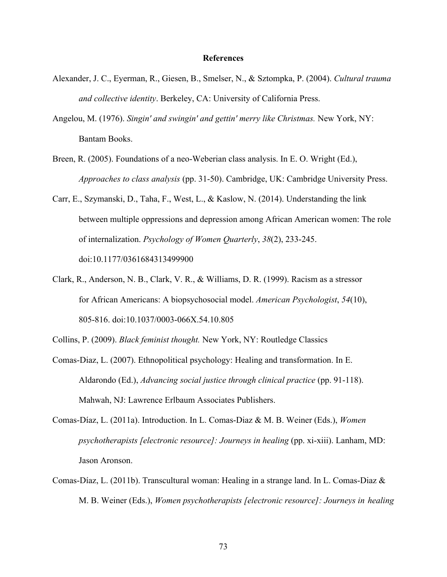#### **References**

- Alexander, J. C., Eyerman, R., Giesen, B., Smelser, N., & Sztompka, P. (2004). *Cultural trauma and collective identity*. Berkeley, CA: University of California Press.
- Angelou, M. (1976). *Singin' and swingin' and gettin' merry like Christmas.* New York, NY: Bantam Books.
- Breen, R. (2005). Foundations of a neo-Weberian class analysis. In E. O. Wright (Ed.), *Approaches to class analysis* (pp. 31-50). Cambridge, UK: Cambridge University Press.
- Carr, E., Szymanski, D., Taha, F., West, L., & Kaslow, N. (2014). Understanding the link between multiple oppressions and depression among African American women: The role of internalization. *Psychology of Women Quarterly*, *38*(2), 233-245. doi:10.1177/0361684313499900
- Clark, R., Anderson, N. B., Clark, V. R., & Williams, D. R. (1999). Racism as a stressor for African Americans: A biopsychosocial model. *American Psychologist*, *54*(10), 805-816. doi:10.1037/0003-066X.54.10.805

Collins, P. (2009). *Black feminist thought.* New York, NY: Routledge Classics

- Comas-Diaz, L. (2007). Ethnopolitical psychology: Healing and transformation. In E. Aldarondo (Ed.), *Advancing social justice through clinical practice* (pp. 91-118). Mahwah, NJ: Lawrence Erlbaum Associates Publishers.
- Comas-Díaz, L. (2011a). Introduction. In L. Comas-Diaz & M. B. Weiner (Eds.), *Women psychotherapists [electronic resource]: Journeys in healing (pp. xi-xiii). Lanham, MD:* Jason Aronson.
- Comas-Díaz, L. (2011b). Transcultural woman: Healing in a strange land. In L. Comas-Diaz & M. B. Weiner (Eds.), *Women psychotherapists [electronic resource]: Journeys in healing*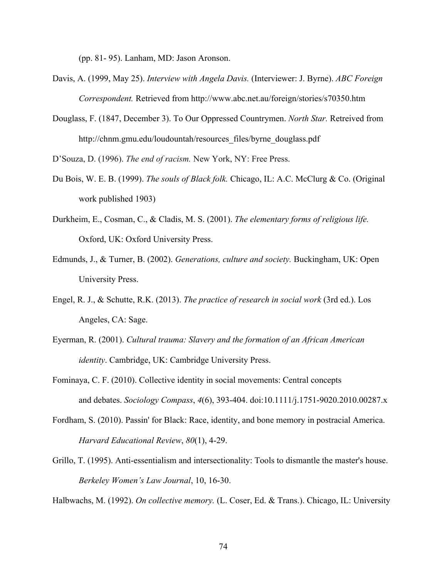(pp. 81- 95). Lanham, MD: Jason Aronson.

- Davis, A. (1999, May 25). *Interview with Angela Davis.* (Interviewer: J. Byrne). *ABC Foreign Correspondent.* Retrieved from http://www.abc.net.au/foreign/stories/s70350.htm
- Douglass, F. (1847, December 3). To Our Oppressed Countrymen. *North Star.* Retreived from http://chnm.gmu.edu/loudountah/resources\_files/byrne\_douglass.pdf

D'Souza, D. (1996). *The end of racism.* New York, NY: Free Press.

- Du Bois, W. E. B. (1999). *The souls of Black folk.* Chicago, IL: A.C. McClurg & Co. (Original work published 1903)
- Durkheim, E., Cosman, C., & Cladis, M. S. (2001). *The elementary forms of religious life.* Oxford, UK: Oxford University Press.
- Edmunds, J., & Turner, B. (2002). *Generations, culture and society.* Buckingham, UK: Open University Press.
- Engel, R. J., & Schutte, R.K. (2013). *The practice of research in social work* (3rd ed.). Los Angeles, CA: Sage.
- Eyerman, R. (2001). *Cultural trauma: Slavery and the formation of an African American identity*. Cambridge, UK: Cambridge University Press.
- Fominaya, C. F. (2010). Collective identity in social movements: Central concepts and debates. *Sociology Compass*, *4*(6), 393-404. doi:10.1111/j.1751-9020.2010.00287.x
- Fordham, S. (2010). Passin' for Black: Race, identity, and bone memory in postracial America. *Harvard Educational Review*, *80*(1), 4-29.
- Grillo, T. (1995). Anti-essentialism and intersectionality: Tools to dismantle the master's house. *Berkeley Women's Law Journal*, 10, 16-30.

Halbwachs, M. (1992). *On collective memory.* (L. Coser, Ed. & Trans.). Chicago, IL: University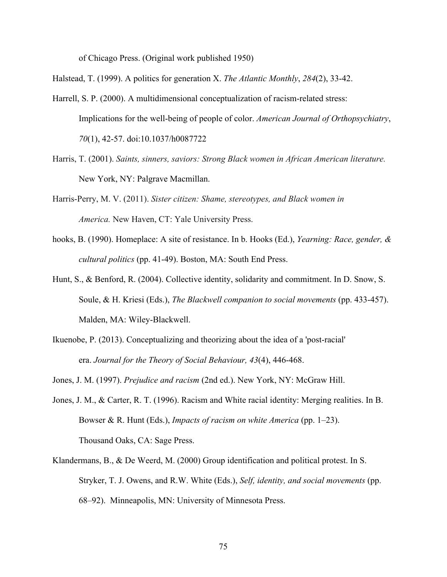of Chicago Press. (Original work published 1950)

Halstead, T. (1999). A politics for generation X. *The Atlantic Monthly*, *284*(2), 33-42.

- Harrell, S. P. (2000). A multidimensional conceptualization of racism-related stress: Implications for the well-being of people of color. *American Journal of Orthopsychiatry*, *70*(1), 42-57. doi:10.1037/h0087722
- Harris, T. (2001). *Saints, sinners, saviors: Strong Black women in African American literature.* New York, NY: Palgrave Macmillan.
- Harris-Perry, M. V. (2011). *Sister citizen: Shame, stereotypes, and Black women in America.* New Haven, CT: Yale University Press.
- hooks, B. (1990). Homeplace: A site of resistance. In b. Hooks (Ed.), *Yearning: Race, gender, & cultural politics* (pp. 41-49). Boston, MA: South End Press.
- Hunt, S., & Benford, R. (2004). Collective identity, solidarity and commitment. In D. Snow, S. Soule, & H. Kriesi (Eds.), *The Blackwell companion to social movements* (pp. 433-457). Malden, MA: Wiley-Blackwell.
- Ikuenobe, P. (2013). Conceptualizing and theorizing about the idea of a 'post-racial' era. *Journal for the Theory of Social Behaviour, 43*(4), 446-468.
- Jones, J. M. (1997). *Prejudice and racism* (2nd ed.). New York, NY: McGraw Hill.
- Jones, J. M., & Carter, R. T. (1996). Racism and White racial identity: Merging realities. In B. Bowser & R. Hunt (Eds.), *Impacts of racism on white America* (pp. 1–23). Thousand Oaks, CA: Sage Press.
- Klandermans, B., & De Weerd, M. (2000) Group identification and political protest. In S. Stryker, T. J. Owens, and R.W. White (Eds.), *Self, identity, and social movements* (pp. 68–92). Minneapolis, MN: University of Minnesota Press.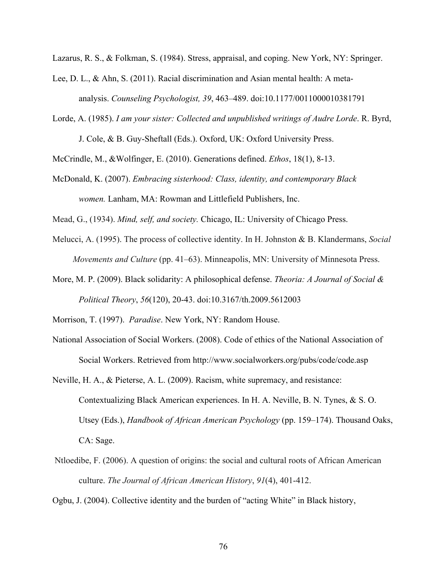Lazarus, R. S., & Folkman, S. (1984). Stress, appraisal, and coping. New York, NY: Springer.

- Lee, D. L., & Ahn, S. (2011). Racial discrimination and Asian mental health: A metaanalysis. *Counseling Psychologist, 39*, 463–489. doi:10.1177/0011000010381791
- Lorde, A. (1985). *I am your sister: Collected and unpublished writings of Audre Lorde*. R. Byrd, J. Cole, & B. Guy-Sheftall (Eds.). Oxford, UK: Oxford University Press.

McCrindle, M., &Wolfinger, E. (2010). Generations defined. *Ethos*, 18(1), 8-13.

McDonald, K. (2007). *Embracing sisterhood: Class, identity, and contemporary Black women.* Lanham, MA: Rowman and Littlefield Publishers, Inc.

Mead, G., (1934). *Mind, self, and society.* Chicago, IL: University of Chicago Press.

- Melucci, A. (1995). The process of collective identity. In H. Johnston & B. Klandermans, *Social Movements and Culture* (pp. 41–63). Minneapolis, MN: University of Minnesota Press.
- More, M. P. (2009). Black solidarity: A philosophical defense. *Theoria: A Journal of Social & Political Theory*, *56*(120), 20-43. doi:10.3167/th.2009.5612003

Morrison, T. (1997). *Paradise*. New York, NY: Random House.

- National Association of Social Workers. (2008). Code of ethics of the National Association of Social Workers. Retrieved from http://www.socialworkers.org/pubs/code/code.asp
- Neville, H. A., & Pieterse, A. L. (2009). Racism, white supremacy, and resistance: Contextualizing Black American experiences. In H. A. Neville, B. N. Tynes, & S. O. Utsey (Eds.), *Handbook of African American Psychology* (pp. 159–174). Thousand Oaks, CA: Sage.
- Ntloedibe, F. (2006). A question of origins: the social and cultural roots of African American culture. *The Journal of African American History*, *91*(4), 401-412.

Ogbu, J. (2004). Collective identity and the burden of "acting White" in Black history,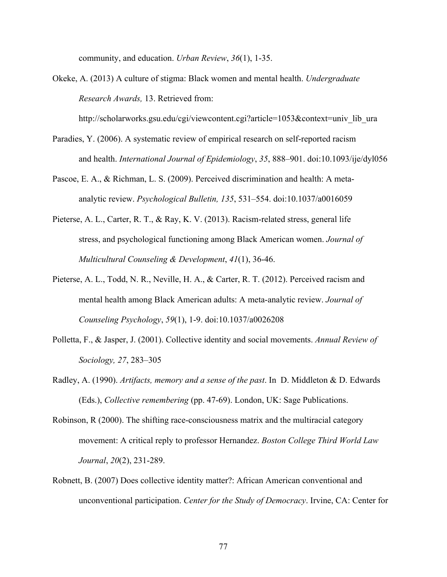community, and education. *Urban Review*, *36*(1), 1-35.

Okeke, A. (2013) A culture of stigma: Black women and mental health. *Undergraduate Research Awards,* 13. Retrieved from:

http://scholarworks.gsu.edu/cgi/viewcontent.cgi?article=1053&context=univ\_lib\_ura

- Paradies, Y. (2006). A systematic review of empirical research on self-reported racism and health. *International Journal of Epidemiology*, *35*, 888–901. doi:10.1093/ije/dyl056
- Pascoe, E. A., & Richman, L. S. (2009). Perceived discrimination and health: A metaanalytic review. *Psychological Bulletin, 135*, 531–554. doi:10.1037/a0016059
- Pieterse, A. L., Carter, R. T., & Ray, K. V. (2013). Racism-related stress, general life stress, and psychological functioning among Black American women. *Journal of Multicultural Counseling & Development*, *41*(1), 36-46.
- Pieterse, A. L., Todd, N. R., Neville, H. A., & Carter, R. T. (2012). Perceived racism and mental health among Black American adults: A meta-analytic review. *Journal of Counseling Psychology*, *59*(1), 1-9. doi:10.1037/a0026208
- Polletta, F., & Jasper, J. (2001). Collective identity and social movements. *Annual Review of Sociology, 27*, 283–305
- Radley, A. (1990). *Artifacts, memory and a sense of the past*. In D. Middleton & D. Edwards (Eds.), *Collective remembering* (pp. 47-69). London, UK: Sage Publications.
- Robinson, R (2000). The shifting race-consciousness matrix and the multiracial category movement: A critical reply to professor Hernandez. *Boston College Third World Law Journal*, *20*(2), 231-289.
- Robnett, B. (2007) Does collective identity matter?: African American conventional and unconventional participation. *Center for the Study of Democracy*. Irvine, CA: Center for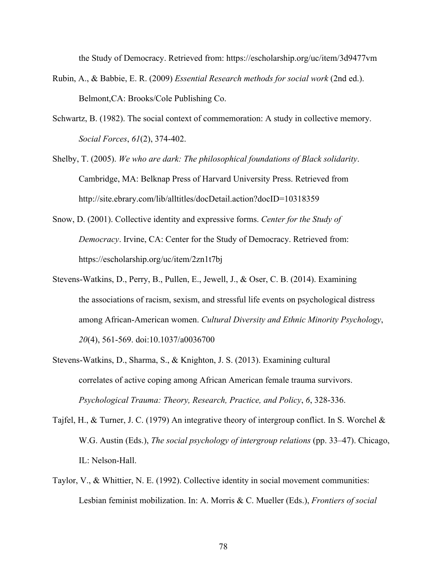the Study of Democracy. Retrieved from: https://escholarship.org/uc/item/3d9477vm

- Rubin, A., & Babbie, E. R. (2009) *Essential Research methods for social work* (2nd ed.). Belmont,CA: Brooks/Cole Publishing Co.
- Schwartz, B. (1982). The social context of commemoration: A study in collective memory. *Social Forces*, *61*(2), 374-402.
- Shelby, T. (2005). *We who are dark: The philosophical foundations of Black solidarity*. Cambridge, MA: Belknap Press of Harvard University Press. Retrieved from http://site.ebrary.com/lib/alltitles/docDetail.action?docID=10318359
- Snow, D. (2001). Collective identity and expressive forms. *Center for the Study of Democracy*. Irvine, CA: Center for the Study of Democracy. Retrieved from: https://escholarship.org/uc/item/2zn1t7bj
- Stevens-Watkins, D., Perry, B., Pullen, E., Jewell, J., & Oser, C. B. (2014). Examining the associations of racism, sexism, and stressful life events on psychological distress among African-American women. *Cultural Diversity and Ethnic Minority Psychology*, *20*(4), 561-569. doi:10.1037/a0036700
- Stevens-Watkins, D., Sharma, S., & Knighton, J. S. (2013). Examining cultural correlates of active coping among African American female trauma survivors. *Psychological Trauma: Theory, Research, Practice, and Policy*, *6*, 328-336.
- Tajfel, H., & Turner, J. C. (1979) An integrative theory of intergroup conflict. In S. Worchel & W.G. Austin (Eds.), *The social psychology of intergroup relations* (pp. 33–47). Chicago, IL: Nelson-Hall.
- Taylor, V., & Whittier, N. E. (1992). Collective identity in social movement communities: Lesbian feminist mobilization. In: A. Morris & C. Mueller (Eds.), *Frontiers of social*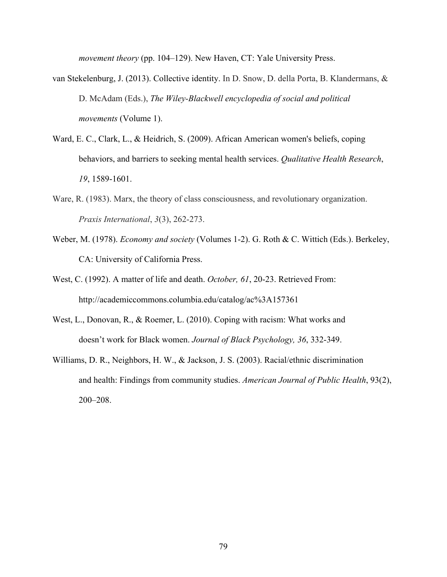*movement theory* (pp. 104–129). New Haven, CT: Yale University Press.

- van Stekelenburg, J. (2013). Collective identity. In D. Snow, D. della Porta, B. Klandermans, & D. McAdam (Eds.), *The Wiley-Blackwell encyclopedia of social and political movements* (Volume 1).
- Ward, E. C., Clark, L., & Heidrich, S. (2009). African American women's beliefs, coping behaviors, and barriers to seeking mental health services. *Qualitative Health Research*, *19*, 1589-1601.
- Ware, R. (1983). Marx, the theory of class consciousness, and revolutionary organization. *Praxis International*, *3*(3), 262-273.
- Weber, M. (1978). *Economy and society* (Volumes 1-2). G. Roth & C. Wittich (Eds.). Berkeley, CA: University of California Press.
- West, C. (1992). A matter of life and death. *October, 61*, 20-23. Retrieved From: http://academiccommons.columbia.edu/catalog/ac%3A157361
- West, L., Donovan, R., & Roemer, L. (2010). Coping with racism: What works and doesn't work for Black women. *Journal of Black Psychology, 36*, 332-349.
- Williams, D. R., Neighbors, H. W., & Jackson, J. S. (2003). Racial/ethnic discrimination and health: Findings from community studies. *American Journal of Public Health*, 93(2), 200–208.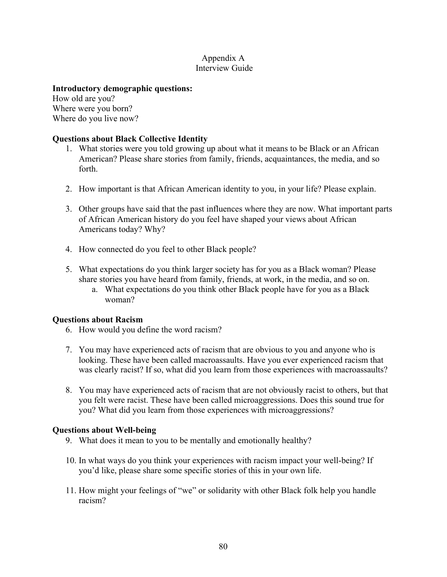#### Appendix A Interview Guide

#### **Introductory demographic questions:**

How old are you? Where were you born? Where do you live now?

# **Questions about Black Collective Identity**

- 1. What stories were you told growing up about what it means to be Black or an African American? Please share stories from family, friends, acquaintances, the media, and so forth.
- 2. How important is that African American identity to you, in your life? Please explain.
- 3. Other groups have said that the past influences where they are now. What important parts of African American history do you feel have shaped your views about African Americans today? Why?
- 4. How connected do you feel to other Black people?
- 5. What expectations do you think larger society has for you as a Black woman? Please share stories you have heard from family, friends, at work, in the media, and so on.
	- a. What expectations do you think other Black people have for you as a Black woman?

#### **Questions about Racism**

- 6. How would you define the word racism?
- 7. You may have experienced acts of racism that are obvious to you and anyone who is looking. These have been called macroassaults. Have you ever experienced racism that was clearly racist? If so, what did you learn from those experiences with macroassaults?
- 8. You may have experienced acts of racism that are not obviously racist to others, but that you felt were racist. These have been called microaggressions. Does this sound true for you? What did you learn from those experiences with microaggressions?

#### **Questions about Well-being**

- 9. What does it mean to you to be mentally and emotionally healthy?
- 10. In what ways do you think your experiences with racism impact your well-being? If you'd like, please share some specific stories of this in your own life.
- 11. How might your feelings of "we" or solidarity with other Black folk help you handle racism?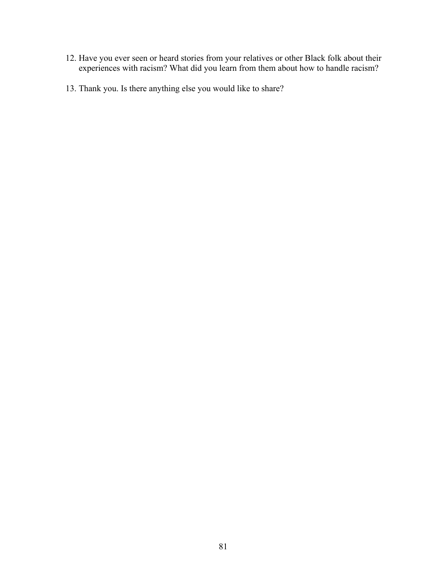- 12. Have you ever seen or heard stories from your relatives or other Black folk about their experiences with racism? What did you learn from them about how to handle racism?
- 13. Thank you. Is there anything else you would like to share?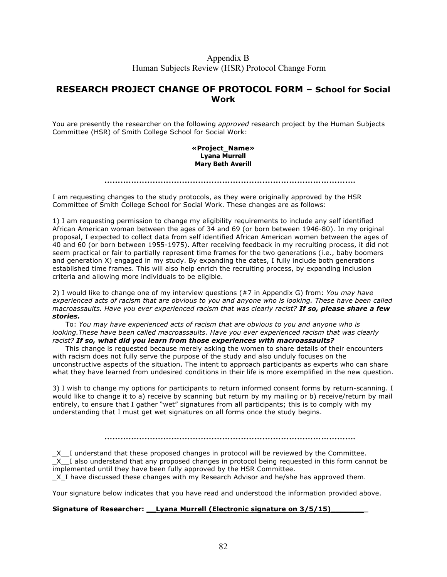#### Appendix B Human Subjects Review (HSR) Protocol Change Form

#### **RESEARCH PROJECT CHANGE OF PROTOCOL FORM – School for Social Work**

You are presently the researcher on the following *approved* research project by the Human Subjects Committee (HSR) of Smith College School for Social Work:

#### **«Project\_Name» Lyana Murrell Mary Beth Averill**

**………………………………………………………………………………….**

I am requesting changes to the study protocols, as they were originally approved by the HSR Committee of Smith College School for Social Work. These changes are as follows:

1) I am requesting permission to change my eligibility requirements to include any self identified African American woman between the ages of 34 and 69 (or born between 1946-80). In my original proposal, I expected to collect data from self identified African American women between the ages of 40 and 60 (or born between 1955-1975). After receiving feedback in my recruiting process, it did not seem practical or fair to partially represent time frames for the two generations (i.e., baby boomers and generation X) engaged in my study. By expanding the dates, I fully include both generations established time frames. This will also help enrich the recruiting process, by expanding inclusion criteria and allowing more individuals to be eligible.

2) I would like to change one of my interview questions (#7 in Appendix G) from: *You may have experienced acts of racism that are obvious to you and anyone who is looking. These have been called macroassaults. Have you ever experienced racism that was clearly racist? If so, please share a few stories.*

To: *You may have experienced acts of racism that are obvious to you and anyone who is*  looking. These have been called macroassaults. Have you ever experienced racism that was clearly *racist? If so, what did you learn from those experiences with macroassaults?*

This change is requested because merely asking the women to share details of their encounters with racism does not fully serve the purpose of the study and also unduly focuses on the unconstructive aspects of the situation. The intent to approach participants as experts who can share what they have learned from undesired conditions in their life is more exemplified in the new question.

3) I wish to change my options for participants to return informed consent forms by return-scanning. I would like to change it to a) receive by scanning but return by my mailing or b) receive/return by mail entirely, to ensure that I gather "wet" signatures from all participants; this is to comply with my understanding that I must get wet signatures on all forms once the study begins.

**………………………………………………………………………………….**

\_X\_\_I understand that these proposed changes in protocol will be reviewed by the Committee.  $X$  I also understand that any proposed changes in protocol being requested in this form cannot be implemented until they have been fully approved by the HSR Committee.

\_X\_I have discussed these changes with my Research Advisor and he/she has approved them.

Your signature below indicates that you have read and understood the information provided above.

#### **Signature of Researcher: \_\_Lyana Murrell (Electronic signature on 3/5/15)\_\_\_\_\_\_\_\_**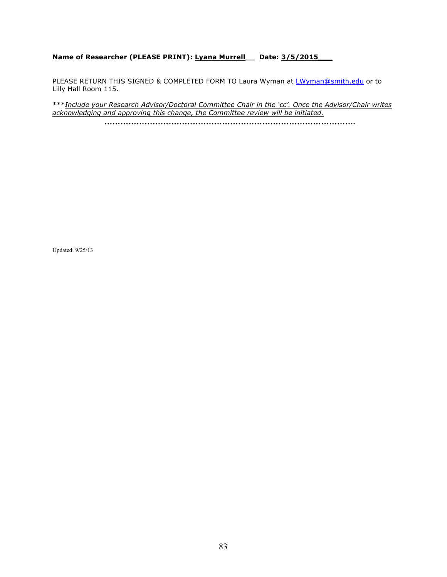#### **Name of Researcher (PLEASE PRINT): Lyana Murrell\_\_ Date: 3/5/2015\_\_\_**

PLEASE RETURN THIS SIGNED & COMPLETED FORM TO Laura Wyman at LWyman@smith.edu or to Lilly Hall Room 115.

\*\*\**Include your Research Advisor/Doctoral Committee Chair in the 'cc'. Once the Advisor/Chair writes acknowledging and approving this change, the Committee review will be initiated.*  **………………………………………………………………………………….**

Updated: 9/25/13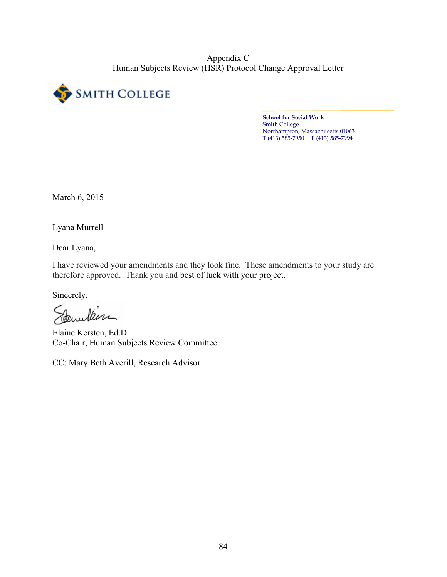Appendix C Human Subjects Review (HSR) Protocol Change Approval Letter



**School for Social Work** Smith College Northampton, Massachusetts 01063 T (413) 585-7950 F (413) 585-7994

March 6, 2015

Lyana Murrell

Dear Lyana,

I have reviewed your amendments and they look fine. These amendments to your study are therefore approved. Thank you and best of luck with your project.

Sincerely,

Courten

Elaine Kersten, Ed.D. Co-Chair, Human Subjects Review Committee

CC: Mary Beth Averill, Research Advisor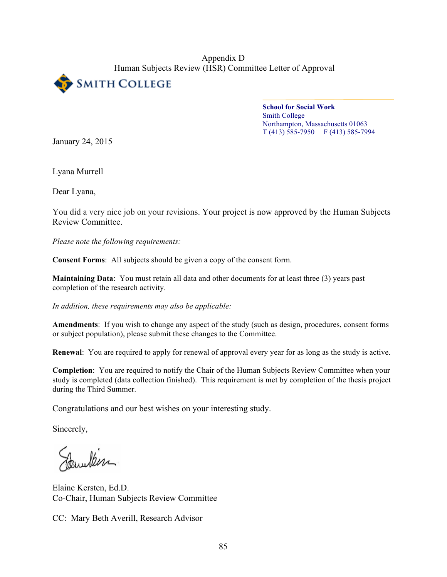Appendix D Human Subjects Review (HSR) Committee Letter of Approval



**School for Social Work** Smith College Northampton, Massachusetts 01063  $T(413)$  585-7950 F (413) 585-7994

January 24, 2015

Lyana Murrell

Dear Lyana,

You did a very nice job on your revisions. Your project is now approved by the Human Subjects Review Committee.

*Please note the following requirements:*

**Consent Forms**: All subjects should be given a copy of the consent form.

**Maintaining Data**: You must retain all data and other documents for at least three (3) years past completion of the research activity.

*In addition, these requirements may also be applicable:*

**Amendments**: If you wish to change any aspect of the study (such as design, procedures, consent forms or subject population), please submit these changes to the Committee.

**Renewal**: You are required to apply for renewal of approval every year for as long as the study is active.

**Completion**: You are required to notify the Chair of the Human Subjects Review Committee when your study is completed (data collection finished). This requirement is met by completion of the thesis project during the Third Summer.

Congratulations and our best wishes on your interesting study.

Sincerely,

Pawlen

Elaine Kersten, Ed.D. Co-Chair, Human Subjects Review Committee

CC: Mary Beth Averill, Research Advisor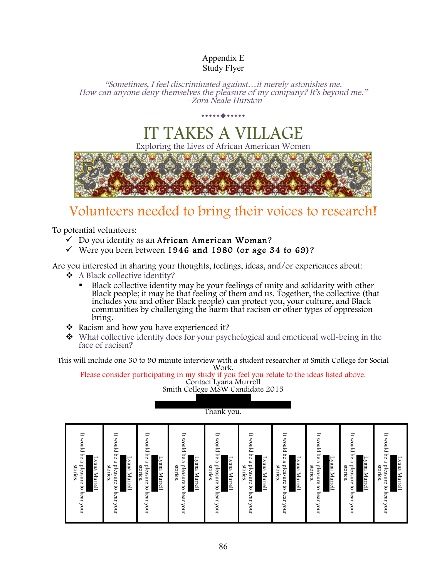# Appendix E Study Flyer

"Sometimes, I feel discriminated against…it merely astonishes me. How can anyone deny themselves the pleasure of my company? It's beyond me." –Zora Neale Hurston

# IT TAKES A VILLA

...........

Exploring the Lives of African American



# Volunteers needed to bring their voices to research!

To potential volunteers:

- $\checkmark$  Do you identify as an African American Woman?
- $\checkmark$  Were you born between 1946 and 1980 (or age 34 to 69)?

Are you interested in sharing your thoughts, feelings, ideas, and/or experiences about:

- \$ A Black collective identity?
	- **Black collective identity may be your feelings of unity and solidarity with other** Black people; it may be that feeling of them and us. Together, the collective (that<br>includes you and other Black people) can protect you, your culture, and Black communities by challenging the harm that racism or other types of oppression bring.
- $\triangleleft$  Racism and how you have experienced it?
- $\bullet$  What collective identity does for your psychological and emotional well-being in the face of racism?

This will include one 30 to 90 minute interview with a student researcher at Smith College for Social

Please consider participating in my study if you feel you relate to the ideas listed above. Contact Lyana Murrell Smith College MSW Candidate 2015

 $\sim$ 



Blackwomenscollectivestudy@gmail.com Thank you.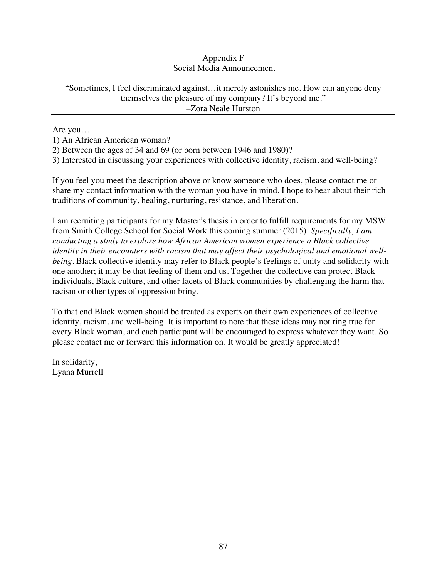# Appendix F Social Media Announcement

#### "Sometimes, I feel discriminated against…it merely astonishes me. How can anyone deny themselves the pleasure of my company? It's beyond me." –Zora Neale Hurston

Are you…

1) An African American woman?

2) Between the ages of 34 and 69 (or born between 1946 and 1980)?

3) Interested in discussing your experiences with collective identity, racism, and well-being?

If you feel you meet the description above or know someone who does, please contact me or share my contact information with the woman you have in mind. I hope to hear about their rich traditions of community, healing, nurturing, resistance, and liberation.

I am recruiting participants for my Master's thesis in order to fulfill requirements for my MSW from Smith College School for Social Work this coming summer (2015). *Specifically, I am conducting a study to explore how African American women experience a Black collective identity in their encounters with racism that may affect their psychological and emotional wellbeing.* Black collective identity may refer to Black people's feelings of unity and solidarity with one another; it may be that feeling of them and us. Together the collective can protect Black individuals, Black culture, and other facets of Black communities by challenging the harm that racism or other types of oppression bring.

To that end Black women should be treated as experts on their own experiences of collective identity, racism, and well-being. It is important to note that these ideas may not ring true for every Black woman, and each participant will be encouraged to express whatever they want. So please contact me or forward this information on. It would be greatly appreciated!

In solidarity, Lyana Murrell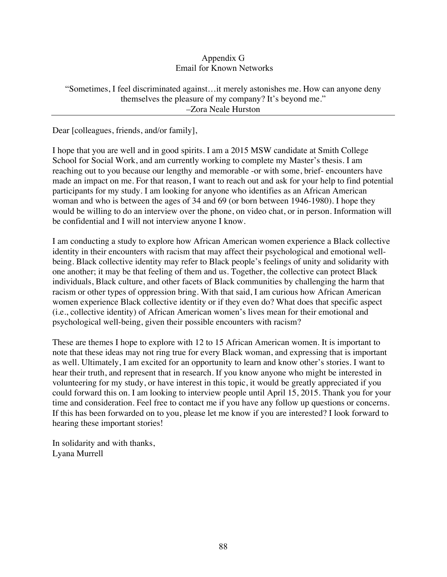#### Appendix G Email for Known Networks

#### "Sometimes, I feel discriminated against…it merely astonishes me. How can anyone deny themselves the pleasure of my company? It's beyond me." –Zora Neale Hurston

Dear [colleagues, friends, and/or family],

I hope that you are well and in good spirits. I am a 2015 MSW candidate at Smith College School for Social Work, and am currently working to complete my Master's thesis. I am reaching out to you because our lengthy and memorable -or with some, brief- encounters have made an impact on me. For that reason, I want to reach out and ask for your help to find potential participants for my study. I am looking for anyone who identifies as an African American woman and who is between the ages of 34 and 69 (or born between 1946-1980). I hope they would be willing to do an interview over the phone, on video chat, or in person. Information will be confidential and I will not interview anyone I know.

I am conducting a study to explore how African American women experience a Black collective identity in their encounters with racism that may affect their psychological and emotional wellbeing. Black collective identity may refer to Black people's feelings of unity and solidarity with one another; it may be that feeling of them and us. Together, the collective can protect Black individuals, Black culture, and other facets of Black communities by challenging the harm that racism or other types of oppression bring. With that said, I am curious how African American women experience Black collective identity or if they even do? What does that specific aspect (i.e., collective identity) of African American women's lives mean for their emotional and psychological well-being, given their possible encounters with racism?

These are themes I hope to explore with 12 to 15 African American women. It is important to note that these ideas may not ring true for every Black woman, and expressing that is important as well. Ultimately, I am excited for an opportunity to learn and know other's stories. I want to hear their truth, and represent that in research. If you know anyone who might be interested in volunteering for my study, or have interest in this topic, it would be greatly appreciated if you could forward this on. I am looking to interview people until April 15, 2015. Thank you for your time and consideration. Feel free to contact me if you have any follow up questions or concerns. If this has been forwarded on to you, please let me know if you are interested? I look forward to hearing these important stories!

In solidarity and with thanks, Lyana Murrell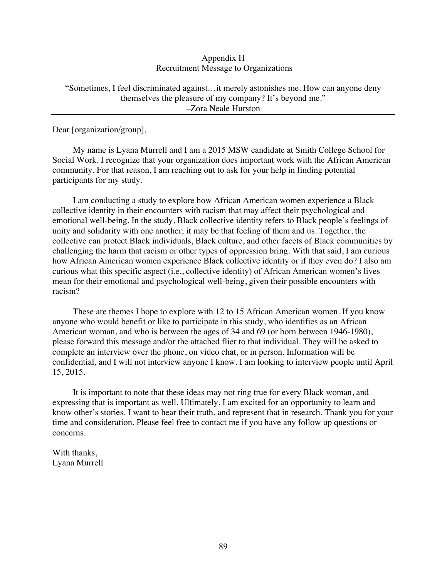#### Appendix H Recruitment Message to Organizations

#### "Sometimes, I feel discriminated against…it merely astonishes me. How can anyone deny themselves the pleasure of my company? It's beyond me." –Zora Neale Hurston

Dear [organization/group],

My name is Lyana Murrell and I am a 2015 MSW candidate at Smith College School for Social Work. I recognize that your organization does important work with the African American community. For that reason, I am reaching out to ask for your help in finding potential participants for my study.

I am conducting a study to explore how African American women experience a Black collective identity in their encounters with racism that may affect their psychological and emotional well-being. In the study, Black collective identity refers to Black people's feelings of unity and solidarity with one another; it may be that feeling of them and us. Together, the collective can protect Black individuals, Black culture, and other facets of Black communities by challenging the harm that racism or other types of oppression bring. With that said, I am curious how African American women experience Black collective identity or if they even do? I also am curious what this specific aspect (i.e., collective identity) of African American women's lives mean for their emotional and psychological well-being, given their possible encounters with racism?

These are themes I hope to explore with 12 to 15 African American women. If you know anyone who would benefit or like to participate in this study, who identifies as an African American woman, and who is between the ages of 34 and 69 (or born between 1946-1980), please forward this message and/or the attached flier to that individual. They will be asked to complete an interview over the phone, on video chat, or in person. Information will be confidential, and I will not interview anyone I know. I am looking to interview people until April 15, 2015.

It is important to note that these ideas may not ring true for every Black woman, and expressing that is important as well. Ultimately, I am excited for an opportunity to learn and know other's stories. I want to hear their truth, and represent that in research. Thank you for your time and consideration. Please feel free to contact me if you have any follow up questions or concerns.

With thanks, Lyana Murrell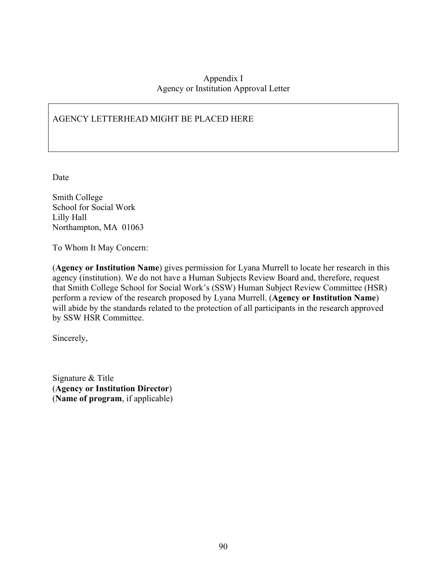#### Appendix I Agency or Institution Approval Letter

# AGENCY LETTERHEAD MIGHT BE PLACED HERE

Date

Smith College School for Social Work Lilly Hall Northampton, MA 01063

To Whom It May Concern:

(**Agency or Institution Name**) gives permission for Lyana Murrell to locate her research in this agency (institution). We do not have a Human Subjects Review Board and, therefore, request that Smith College School for Social Work's (SSW) Human Subject Review Committee (HSR) perform a review of the research proposed by Lyana Murrell. (**Agency or Institution Name**) will abide by the standards related to the protection of all participants in the research approved by SSW HSR Committee.

Sincerely,

Signature & Title (**Agency or Institution Director**) (**Name of program**, if applicable)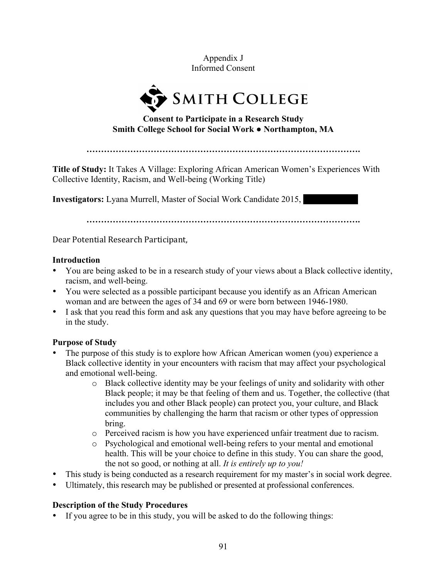Appendix J Informed Consent



**Consent to Participate in a Research Study Smith College School for Social Work ● Northampton, MA**

**Title of Study:** It Takes A Village: Exploring African American Women's Experiences With Collective Identity, Racism, and Well-being (Working Title)

**Investigators:** Lyana Murrell, Master of Social Work Candidate 2015,

**………………………………………………………………………………….**

Dear Potential Research Participant,

#### **Introduction**

- You are being asked to be in a research study of your views about a Black collective identity, racism, and well-being.
- You were selected as a possible participant because you identify as an African American woman and are between the ages of 34 and 69 or were born between 1946-1980.
- I ask that you read this form and ask any questions that you may have before agreeing to be in the study.

# **Purpose of Study**

- The purpose of this study is to explore how African American women (you) experience a Black collective identity in your encounters with racism that may affect your psychological and emotional well-being.
	- o Black collective identity may be your feelings of unity and solidarity with other Black people; it may be that feeling of them and us. Together, the collective (that includes you and other Black people) can protect you, your culture, and Black communities by challenging the harm that racism or other types of oppression bring.
	- o Perceived racism is how you have experienced unfair treatment due to racism.
	- o Psychological and emotional well-being refers to your mental and emotional health. This will be your choice to define in this study. You can share the good, the not so good, or nothing at all. *It is entirely up to you!*
- This study is being conducted as a research requirement for my master's in social work degree.
- Ultimately, this research may be published or presented at professional conferences.

# **Description of the Study Procedures**

• If you agree to be in this study, you will be asked to do the following things: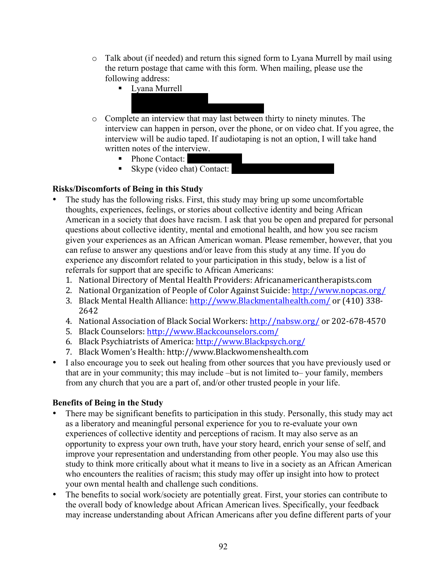- $\circ$  Talk about (if needed) and return this signed form to Lyana Murrell by mail using the return postage that came with this form. When mailing, please use the following address:
	- $\blacksquare$  Lyana Murrell
- o Complete an interview that may last between thirty to ninety minutes. The interview can happen in person, over the phone, or on video chat. If you agree, the interview will be audio taped. If audiotaping is not an option, I will take hand written notes of the interview.
	- $\blacksquare$  Phone Contact:
	- $\blacksquare$  Skype (video chat) Contact:

# **Risks/Discomforts of Being in this Study**

- The study has the following risks. First, this study may bring up some uncomfortable thoughts, experiences, feelings, or stories about collective identity and being African American in a society that does have racism. I ask that you be open and prepared for personal questions about collective identity, mental and emotional health, and how you see racism given your experiences as an African American woman. Please remember, however, that you can refuse to answer any questions and/or leave from this study at any time. If you do experience any discomfort related to your participation in this study, below is a list of referrals for support that are specific to African Americans:
	- 1. National Directory of Mental Health Providers: Africanamericantherapists.com
	- 2. National Organization of People of Color Against Suicide: http://www.nopcas.org/
	- 3. Black Mental Health Alliance: http://www.Blackmentalhealth.com/ or (410) 338-2642
	- 4. National Association of Black Social Workers: http://nabsw.org/ or 202-678-4570
	- 5. Black Counselors: http://www.Blackcounselors.com/
	- 6. Black Psychiatrists of America: http://www.Blackpsych.org/
	- 7. Black Women's Health: http://www.Blackwomenshealth.com
- I also encourage you to seek out healing from other sources that you have previously used or that are in your community; this may include –but is not limited to– your family, members from any church that you are a part of, and/or other trusted people in your life.

# **Benefits of Being in the Study**

- There may be significant benefits to participation in this study. Personally, this study may act as a liberatory and meaningful personal experience for you to re-evaluate your own experiences of collective identity and perceptions of racism. It may also serve as an opportunity to express your own truth, have your story heard, enrich your sense of self, and improve your representation and understanding from other people. You may also use this study to think more critically about what it means to live in a society as an African American who encounters the realities of racism; this study may offer up insight into how to protect your own mental health and challenge such conditions.
- The benefits to social work/society are potentially great. First, your stories can contribute to the overall body of knowledge about African American lives. Specifically, your feedback may increase understanding about African Americans after you define different parts of your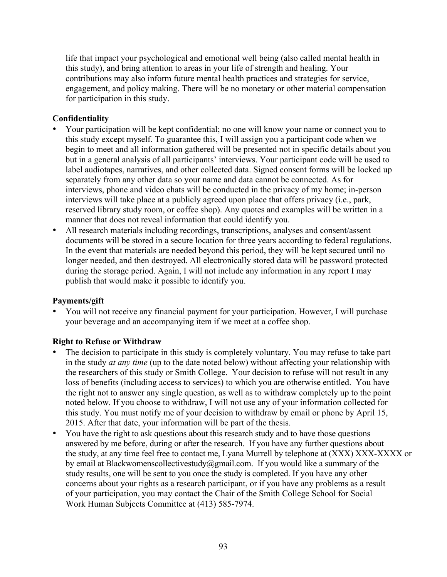life that impact your psychological and emotional well being (also called mental health in this study), and bring attention to areas in your life of strength and healing. Your contributions may also inform future mental health practices and strategies for service, engagement, and policy making. There will be no monetary or other material compensation for participation in this study.

# **Confidentiality**

- Your participation will be kept confidential; no one will know your name or connect you to this study except myself. To guarantee this, I will assign you a participant code when we begin to meet and all information gathered will be presented not in specific details about you but in a general analysis of all participants' interviews. Your participant code will be used to label audiotapes, narratives, and other collected data. Signed consent forms will be locked up separately from any other data so your name and data cannot be connected. As for interviews, phone and video chats will be conducted in the privacy of my home; in-person interviews will take place at a publicly agreed upon place that offers privacy (i.e., park, reserved library study room, or coffee shop). Any quotes and examples will be written in a manner that does not reveal information that could identify you.
- All research materials including recordings, transcriptions, analyses and consent/assent documents will be stored in a secure location for three years according to federal regulations. In the event that materials are needed beyond this period, they will be kept secured until no longer needed, and then destroyed. All electronically stored data will be password protected during the storage period. Again, I will not include any information in any report I may publish that would make it possible to identify you.

# **Payments/gift**

• You will not receive any financial payment for your participation. However, I will purchase your beverage and an accompanying item if we meet at a coffee shop.

# **Right to Refuse or Withdraw**

- The decision to participate in this study is completely voluntary. You may refuse to take part in the study *at any time* (up to the date noted below) without affecting your relationship with the researchers of this study or Smith College. Your decision to refuse will not result in any loss of benefits (including access to services) to which you are otherwise entitled. You have the right not to answer any single question, as well as to withdraw completely up to the point noted below. If you choose to withdraw, I will not use any of your information collected for this study. You must notify me of your decision to withdraw by email or phone by April 15, 2015. After that date, your information will be part of the thesis.
- You have the right to ask questions about this research study and to have those questions answered by me before, during or after the research. If you have any further questions about the study, at any time feel free to contact me, Lyana Murrell by telephone at (XXX) XXX-XXXX or by email at Blackwomenscollectivestudy@gmail.com. If you would like a summary of the study results, one will be sent to you once the study is completed. If you have any other concerns about your rights as a research participant, or if you have any problems as a result of your participation, you may contact the Chair of the Smith College School for Social Work Human Subjects Committee at (413) 585-7974.